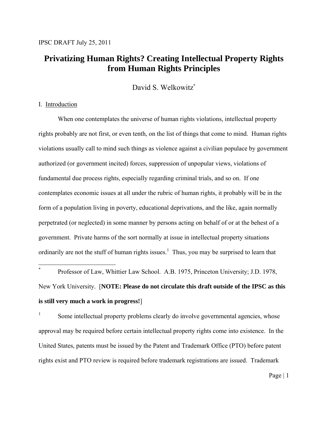## **Privatizing Human Rights? Creating Intellectual Property Rights from Human Rights Principles**

David S. Welkowitz\*

## I. Introduction

 $\overline{a}$ 

When one contemplates the universe of human rights violations, intellectual property rights probably are not first, or even tenth, on the list of things that come to mind. Human rights violations usually call to mind such things as violence against a civilian populace by government authorized (or government incited) forces, suppression of unpopular views, violations of fundamental due process rights, especially regarding criminal trials, and so on. If one contemplates economic issues at all under the rubric of human rights, it probably will be in the form of a population living in poverty, educational deprivations, and the like, again normally perpetrated (or neglected) in some manner by persons acting on behalf of or at the behest of a government. Private harms of the sort normally at issue in intellectual property situations ordinarily are not the stuff of human rights issues.<sup>1</sup> Thus, you may be surprised to learn that

\* Professor of Law, Whittier Law School. A.B. 1975, Princeton University; J.D. 1978, New York University. [**NOTE: Please do not circulate this draft outside of the IPSC as this is still very much a work in progress!**]

Some intellectual property problems clearly do involve governmental agencies, whose approval may be required before certain intellectual property rights come into existence. In the United States, patents must be issued by the Patent and Trademark Office (PTO) before patent rights exist and PTO review is required before trademark registrations are issued. Trademark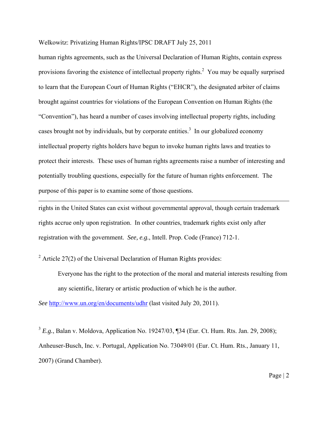human rights agreements, such as the Universal Declaration of Human Rights, contain express provisions favoring the existence of intellectual property rights.<sup>2</sup> You may be equally surprised to learn that the European Court of Human Rights ("EHCR"), the designated arbiter of claims brought against countries for violations of the European Convention on Human Rights (the "Convention"), has heard a number of cases involving intellectual property rights, including cases brought not by individuals, but by corporate entities.<sup>3</sup> In our globalized economy intellectual property rights holders have begun to invoke human rights laws and treaties to protect their interests. These uses of human rights agreements raise a number of interesting and potentially troubling questions, especially for the future of human rights enforcement. The purpose of this paper is to examine some of those questions.

rights in the United States can exist without governmental approval, though certain trademark rights accrue only upon registration. In other countries, trademark rights exist only after registration with the government. *See, e.g.*, Intell. Prop. Code (France) 712-1.

<sup>2</sup> Article 27(2) of the Universal Declaration of Human Rights provides:

 $\overline{a}$ 

Everyone has the right to the protection of the moral and material interests resulting from any scientific, literary or artistic production of which he is the author.

*See* http://www.un.org/en/documents/udhr (last visited July 20, 2011).

<sup>3</sup> *E.g.*, Balan v. Moldova, Application No. 19247/03, ¶34 (Eur. Ct. Hum. Rts. Jan. 29, 2008); Anheuser-Busch, Inc. v. Portugal, Application No. 73049/01 (Eur. Ct. Hum. Rts., January 11, 2007) (Grand Chamber).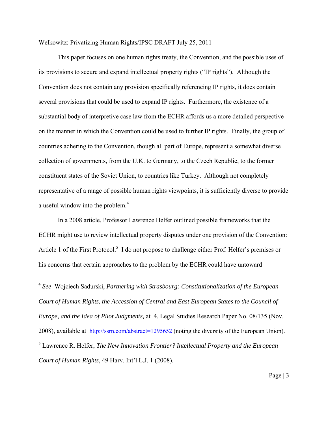This paper focuses on one human rights treaty, the Convention, and the possible uses of its provisions to secure and expand intellectual property rights ("IP rights"). Although the Convention does not contain any provision specifically referencing IP rights, it does contain several provisions that could be used to expand IP rights. Furthermore, the existence of a substantial body of interpretive case law from the ECHR affords us a more detailed perspective on the manner in which the Convention could be used to further IP rights. Finally, the group of countries adhering to the Convention, though all part of Europe, represent a somewhat diverse collection of governments, from the U.K. to Germany, to the Czech Republic, to the former constituent states of the Soviet Union, to countries like Turkey. Although not completely representative of a range of possible human rights viewpoints, it is sufficiently diverse to provide a useful window into the problem.<sup>4</sup>

In a 2008 article, Professor Lawrence Helfer outlined possible frameworks that the ECHR might use to review intellectual property disputes under one provision of the Convention: Article 1 of the First Protocol.<sup>5</sup> I do not propose to challenge either Prof. Helfer's premises or his concerns that certain approaches to the problem by the ECHR could have untoward

 $\overline{a}$ 

<sup>4</sup> *See* Wojciech Sadurski, *Partnering with Strasbourg: Constitutionalization of the European Court of Human Rights, the Accession of Central and East European States to the Council of Europe, and the Idea of Pilot Judgments,* at 4, Legal Studies Research Paper No. 08/135 (Nov. 2008), available at http://ssrn.com/abstract=1295652 (noting the diversity of the European Union). 5 Lawrence R. Helfer, *The New Innovation Frontier? Intellectual Property and the European Court of Human Rights*, 49 Harv. Int'l L.J. 1 (2008).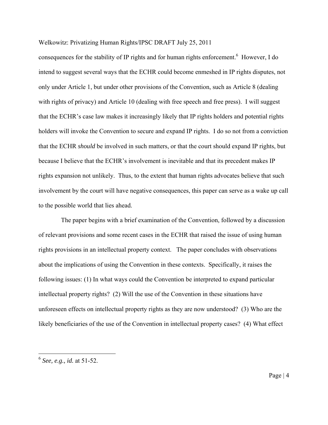consequences for the stability of IP rights and for human rights enforcement.<sup>6</sup> However, I do intend to suggest several ways that the ECHR could become enmeshed in IP rights disputes, not only under Article 1, but under other provisions of the Convention, such as Article 8 (dealing with rights of privacy) and Article 10 (dealing with free speech and free press). I will suggest that the ECHR's case law makes it increasingly likely that IP rights holders and potential rights holders will invoke the Convention to secure and expand IP rights. I do so not from a conviction that the ECHR *should* be involved in such matters, or that the court should expand IP rights, but because I believe that the ECHR's involvement is inevitable and that its precedent makes IP rights expansion not unlikely. Thus, to the extent that human rights advocates believe that such involvement by the court will have negative consequences, this paper can serve as a wake up call to the possible world that lies ahead.

 The paper begins with a brief examination of the Convention, followed by a discussion of relevant provisions and some recent cases in the ECHR that raised the issue of using human rights provisions in an intellectual property context. The paper concludes with observations about the implications of using the Convention in these contexts. Specifically, it raises the following issues: (1) In what ways could the Convention be interpreted to expand particular intellectual property rights? (2) Will the use of the Convention in these situations have unforeseen effects on intellectual property rights as they are now understood? (3) Who are the likely beneficiaries of the use of the Convention in intellectual property cases? (4) What effect

 $\overline{a}$ 

<sup>6</sup> *See, e.g., id.* at 51-52.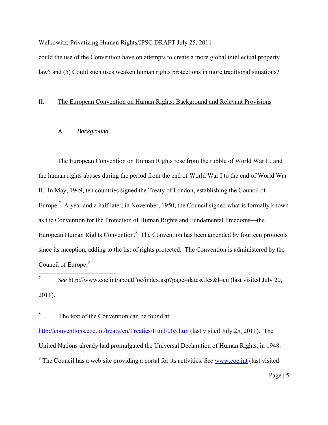could the use of the Convention have on attempts to create a more global intellectual property law? and (5) Could such uses weaken human rights protections in more traditional situations?

## II. The European Convention on Human Rights: Background and Relevant Provisions

## A. *Background*

The European Convention on Human Rights rose from the rubble of World War II, and the human rights abuses during the period from the end of World War I to the end of World War II. In May, 1949, ten countries signed the Treaty of London, establishing the Council of Europe.<sup>7</sup> A year and a half later, in November, 1950, the Council signed what is formally known as the Convention for the Protection of Human Rights and Fundamental Freedoms—the European Human Rights Convention. $<sup>8</sup>$  The Convention has been amended by fourteen protocols</sup> since its inception, adding to the list of rights protected. The Convention is administered by the Council of Europe.<sup>9</sup>

 $\overline{7}$ <sup>7</sup>*See* http://www.coe.int/aboutCoe/index.asp?page=datesCles&l=en (last visited July 20, 2011).

<sup>8</sup> The text of the Convention can be found at

http://conventions.coe.int/treaty/en/Treaties/Html/005.htm (last visited July 25, 2011). The United Nations already had promulgated the Universal Declaration of Human Rights, in 1948. <sup>9</sup> The Council has a web site providing a portal for its activities. *See* www.coe.int (last visited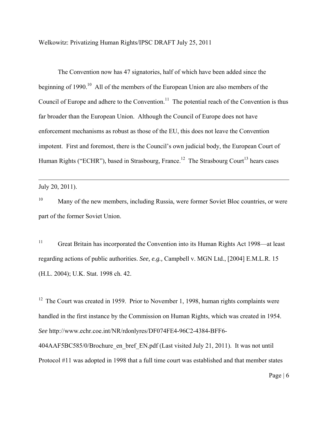The Convention now has 47 signatories, half of which have been added since the beginning of 1990.<sup>10</sup> All of the members of the European Union are also members of the Council of Europe and adhere to the Convention.<sup>11</sup> The potential reach of the Convention is thus far broader than the European Union. Although the Council of Europe does not have enforcement mechanisms as robust as those of the EU, this does not leave the Convention impotent. First and foremost, there is the Council's own judicial body, the European Court of Human Rights ("ECHR"), based in Strasbourg, France.<sup>12</sup> The Strasbourg Court<sup>13</sup> hears cases

July 20, 2011).

 $\overline{a}$ 

<sup>10</sup> Many of the new members, including Russia, were former Soviet Bloc countries, or were part of the former Soviet Union.

<sup>11</sup> Great Britain has incorporated the Convention into its Human Rights Act 1998—at least regarding actions of public authorities. *See, e.g.,* Campbell v. MGN Ltd., [2004] E.M.L.R. 15 (H.L. 2004); U.K. Stat. 1998 ch. 42.

 $12$  The Court was created in 1959. Prior to November 1, 1998, human rights complaints were handled in the first instance by the Commission on Human Rights, which was created in 1954. *See* http://www.echr.coe.int/NR/rdonlyres/DF074FE4-96C2-4384-BFF6- 404AAF5BC585/0/Brochure\_en\_bref\_EN.pdf (Last visited July 21, 2011). It was not until Protocol #11 was adopted in 1998 that a full time court was established and that member states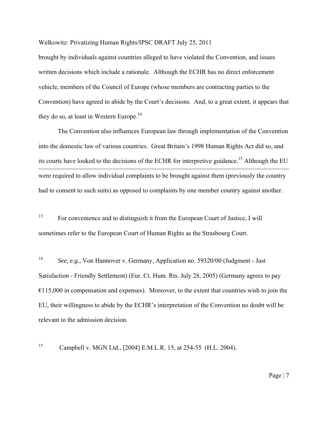brought by individuals against countries alleged to have violated the Convention, and issues written decisions which include a rationale. Although the ECHR has no direct enforcement vehicle, members of the Council of Europe (whose members are contracting parties to the Convention) have agreed to abide by the Court's decisions. And, to a great extent, it appears that they do so, at least in Western Europe.<sup>14</sup>

The Convention also influences European law through implementation of the Convention into the domestic law of various countries. Great Britain's 1998 Human Rights Act did so, and its courts have looked to the decisions of the ECHR for interpretive guidance.<sup>15</sup> Although the EU  $\overline{a}$ were required to allow individual complaints to be brought against them (previously the country had to consent to such suits) as opposed to complaints by one member country against another.

13 For convenience and to distinguish it from the European Court of Justice, I will sometimes refer to the European Court of Human Rights as the Strasbourg Court.

<sup>14</sup>*See, e.g.,* Von Hannover v. Germany, Application no. 59320/00 (Judgment - Just Satisfaction - Friendly Settlement) (Eur. Ct. Hum. Rts. July 28, 2005) (Germany agrees to pay  $€115,000$  in compensation and expenses). Moreover, to the extent that countries wish to join the EU, their willingness to abide by the ECHR's interpretation of the Convention no doubt will be relevant to the admission decision.

15 Campbell v. MGN Ltd., [2004] E.M.L.R. 15, at 254-55 (H.L. 2004).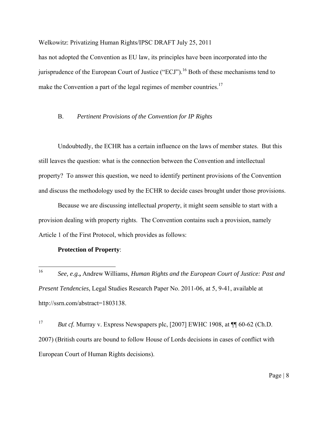has not adopted the Convention as EU law, its principles have been incorporated into the jurisprudence of the European Court of Justice ("ECJ").<sup>16</sup> Both of these mechanisms tend to make the Convention a part of the legal regimes of member countries.<sup>17</sup>

## B. *Pertinent Provisions of the Convention for IP Rights*

Undoubtedly, the ECHR has a certain influence on the laws of member states. But this still leaves the question: what is the connection between the Convention and intellectual property? To answer this question, we need to identify pertinent provisions of the Convention and discuss the methodology used by the ECHR to decide cases brought under those provisions.

Because we are discussing intellectual *property*, it might seem sensible to start with a provision dealing with property rights. The Convention contains such a provision, namely Article 1 of the First Protocol, which provides as follows:

## **Protection of Property**:

<sup>17</sup> *But cf.* Murray v. Express Newspapers plc, [2007] EWHC 1908, at  $\P$  60-62 (Ch.D. 2007) (British courts are bound to follow House of Lords decisions in cases of conflict with European Court of Human Rights decisions).

 $16\,$ <sup>16</sup> *See, e.g.***,** Andrew Williams, *Human Rights and the European Court of Justice: Past and Present Tendencies*, Legal Studies Research Paper No. 2011-06, at 5, 9-41, available at http://ssrn.com/abstract=1803138.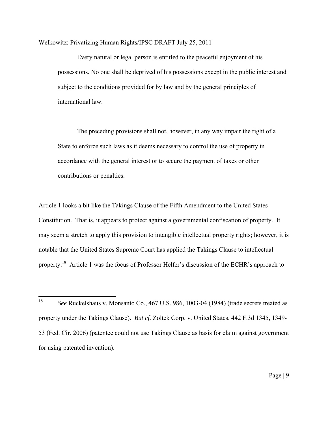Every natural or legal person is entitled to the peaceful enjoyment of his possessions. No one shall be deprived of his possessions except in the public interest and subject to the conditions provided for by law and by the general principles of international law.

The preceding provisions shall not, however, in any way impair the right of a State to enforce such laws as it deems necessary to control the use of property in accordance with the general interest or to secure the payment of taxes or other contributions or penalties.

Article 1 looks a bit like the Takings Clause of the Fifth Amendment to the United States Constitution. That is, it appears to protect against a governmental confiscation of property. It may seem a stretch to apply this provision to intangible intellectual property rights; however, it is notable that the United States Supreme Court has applied the Takings Clause to intellectual property.18 Article 1 was the focus of Professor Helfer's discussion of the ECHR's approach to

<sup>18</sup> <sup>18</sup>*See* Ruckelshaus v. Monsanto Co., 467 U.S. 986, 1003-04 (1984) (trade secrets treated as property under the Takings Clause). *But cf.* Zoltek Corp. v. United States, 442 F.3d 1345, 1349- 53 (Fed. Cir. 2006) (patentee could not use Takings Clause as basis for claim against government for using patented invention).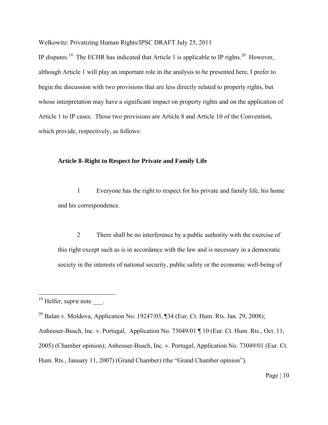IP disputes.<sup>19</sup> The ECHR has indicated that Article 1 is applicable to IP rights.<sup>20</sup> However, although Article 1 will play an important role in the analysis to be presented here, I prefer to begin the discussion with two provisions that are less directly related to property rights, but whose interpretation may have a significant impact on property rights and on the application of Article 1 to IP cases. Those two provisions are Article 8 and Article 10 of the Convention, which provide, respectively, as follows:

## **Article 8–Right to Respect for Private and Family Life**

1 Everyone has the right to respect for his private and family life, his home and his correspondence.

2 There shall be no interference by a public authority with the exercise of this right except such as is in accordance with the law and is necessary in a democratic society in the interests of national security, public safety or the economic well-being of

 $\overline{a}$ 

<sup>&</sup>lt;sup>19</sup> Helfer, *supra* note \_\_\_.

<sup>&</sup>lt;sup>20</sup> Balan v. Moldova, Application No. 19247/03, ¶34 (Eur. Ct. Hum. Rts. Jan. 29, 2008); Anheuser-Busch, Inc. v. Portugal, Application No. 73049/01 ¶ 10 (Eur. Ct. Hum. Rts., Oct. 11, 2005) (Chamber opinion); Anheuser-Busch, Inc. v. Portugal, Application No. 73049/01 (Eur. Ct. Hum. Rts., January 11, 2007) (Grand Chamber) (the "Grand Chamber opinion").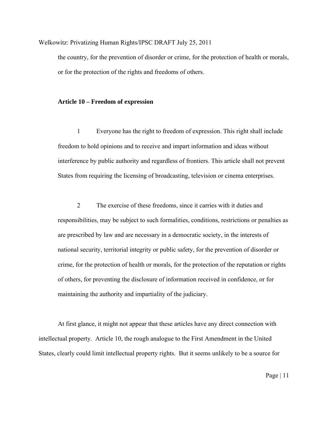the country, for the prevention of disorder or crime, for the protection of health or morals, or for the protection of the rights and freedoms of others.

## **Article 10 – Freedom of expression**

1 Everyone has the right to freedom of expression. This right shall include freedom to hold opinions and to receive and impart information and ideas without interference by public authority and regardless of frontiers. This article shall not prevent States from requiring the licensing of broadcasting, television or cinema enterprises.

2 The exercise of these freedoms, since it carries with it duties and responsibilities, may be subject to such formalities, conditions, restrictions or penalties as are prescribed by law and are necessary in a democratic society, in the interests of national security, territorial integrity or public safety, for the prevention of disorder or crime, for the protection of health or morals, for the protection of the reputation or rights of others, for preventing the disclosure of information received in confidence, or for maintaining the authority and impartiality of the judiciary.

At first glance, it might not appear that these articles have any direct connection with intellectual property. Article 10, the rough analogue to the First Amendment in the United States, clearly could limit intellectual property rights. But it seems unlikely to be a source for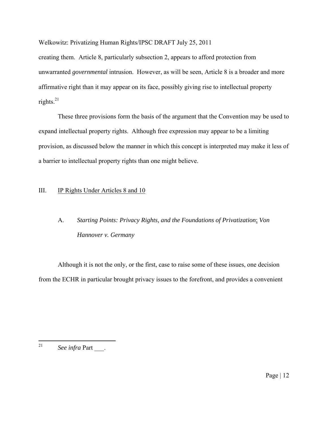creating them. Article 8, particularly subsection 2, appears to afford protection from unwarranted *governmental* intrusion. However, as will be seen, Article 8 is a broader and more affirmative right than it may appear on its face, possibly giving rise to intellectual property rights. $^{21}$ 

 These three provisions form the basis of the argument that the Convention may be used to expand intellectual property rights. Although free expression may appear to be a limiting provision, as discussed below the manner in which this concept is interpreted may make it less of a barrier to intellectual property rights than one might believe.

## III. IP Rights Under Articles 8 and 10

# A. *Starting Points: Privacy Rights, and the Foundations of Privatization*; *Von Hannover v. Germany*

Although it is not the only, or the first, case to raise some of these issues, one decision from the ECHR in particular brought privacy issues to the forefront, and provides a convenient

<sup>21</sup> See infra Part \_\_\_\_.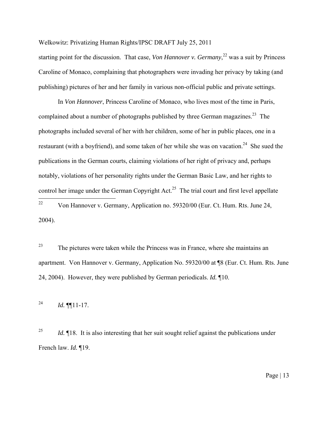starting point for the discussion. That case, *Von Hannover v. Germany*,<sup>22</sup> was a suit by Princess Caroline of Monaco, complaining that photographers were invading her privacy by taking (and publishing) pictures of her and her family in various non-official public and private settings.

 In *Von Hannover*, Princess Caroline of Monaco, who lives most of the time in Paris, complained about a number of photographs published by three German magazines.<sup>23</sup> The photographs included several of her with her children, some of her in public places, one in a restaurant (with a boyfriend), and some taken of her while she was on vacation.<sup>24</sup> She sued the publications in the German courts, claiming violations of her right of privacy and, perhaps notably, violations of her personality rights under the German Basic Law, and her rights to control her image under the German Copyright Act.<sup>25</sup> The trial court and first level appellate 22 22 Von Hannover v. Germany, Application no. 59320/00 (Eur. Ct. Hum. Rts. June 24, 2004).

<sup>23</sup> The pictures were taken while the Princess was in France, where she maintains an apartment. Von Hannover v. Germany, Application No. 59320/00 at ¶8 (Eur. Ct. Hum. Rts. June 24, 2004). However, they were published by German periodicals. *Id.* ¶10.

<sup>24</sup> *Id.* ¶[11-17.

<sup>25</sup>*Id.* If is also interesting that her suit sought relief against the publications under French law. *Id.* ¶19.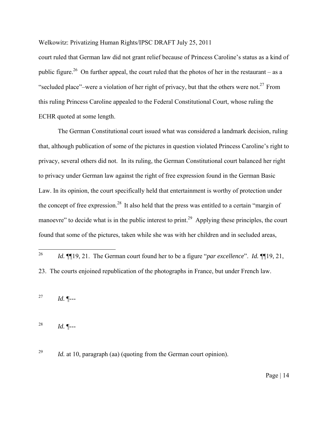court ruled that German law did not grant relief because of Princess Caroline's status as a kind of public figure.<sup>26</sup> On further appeal, the court ruled that the photos of her in the restaurant – as a "secluded place"–were a violation of her right of privacy, but that the others were not.<sup>27</sup> From this ruling Princess Caroline appealed to the Federal Constitutional Court, whose ruling the ECHR quoted at some length.

 The German Constitutional court issued what was considered a landmark decision, ruling that, although publication of some of the pictures in question violated Princess Caroline's right to privacy, several others did not. In its ruling, the German Constitutional court balanced her right to privacy under German law against the right of free expression found in the German Basic Law. In its opinion, the court specifically held that entertainment is worthy of protection under the concept of free expression.<sup>28</sup> It also held that the press was entitled to a certain "margin of manoevre" to decide what is in the public interest to print.<sup>29</sup> Applying these principles, the court found that some of the pictures, taken while she was with her children and in secluded areas,

 $26\,$ <sup>26</sup>*Id.* ¶¶19, 21. The German court found her to be a figure "*par excellence*". *Id.* ¶¶19, 21, 23. The courts enjoined republication of the photographs in France, but under French law.

<sup>27</sup> *Id.* ¶---

<sup>28</sup> *Id.* ¶---

<sup>29</sup> *Id.* at 10, paragraph (aa) (quoting from the German court opinion).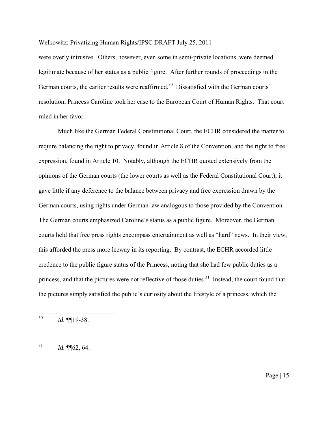were overly intrusive. Others, however, even some in semi-private locations, were deemed legitimate because of her status as a public figure. After further rounds of proceedings in the German courts, the earlier results were reaffirmed.<sup>30</sup> Dissatisfied with the German courts' resolution, Princess Caroline took her case to the European Court of Human Rights. That court ruled in her favor.

Much like the German Federal Constitutional Court, the ECHR considered the matter to require balancing the right to privacy, found in Article 8 of the Convention, and the right to free expression, found in Article 10. Notably, although the ECHR quoted extensively from the opinions of the German courts (the lower courts as well as the Federal Constitutional Court), it gave little if any deference to the balance between privacy and free expression drawn by the German courts, using rights under German law analogous to those provided by the Convention. The German courts emphasized Caroline's status as a public figure. Moreover, the German courts held that free press rights encompass entertainment as well as "hard" news. In their view, this afforded the press more leeway in its reporting. By contrast, the ECHR accorded little credence to the public figure status of the Princess, noting that she had few public duties as a princess, and that the pictures were not reflective of those duties. $31$  Instead, the court found that the pictures simply satisfied the public's curiosity about the lifestyle of a princess, which the

 $1d. \P[62, 64]$ 

<sup>30</sup> <sup>30</sup>*Id.* ¶¶19-38.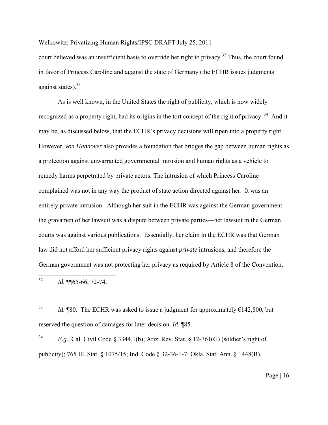court believed was an insufficient basis to override her right to privacy.<sup>32</sup> Thus, the court found in favor of Princess Caroline and against the state of Germany (the ECHR issues judgments against states). $33$ 

As is well known, in the United States the right of publicity, which is now widely recognized as a property right, had its origins in the tort concept of the right of privacy.<sup>34</sup> And it may be, as discussed below, that the ECHR's privacy decisions will ripen into a property right. However, *von Hannover* also provides a foundation that bridges the gap between human rights as a protection against unwarranted governmental intrusion and human rights as a vehicle to remedy harms perpetrated by private actors. The intrusion of which Princess Caroline complained was not in any way the product of state action directed against her. It was an entirely private intrusion. Although her suit in the ECHR was against the German government the gravamen of her lawsuit was a dispute between private parties—her lawsuit in the German courts was against various publications. Essentially, her claim in the ECHR was that German law did not afford her sufficient privacy rights against *private* intrusions, and therefore the German government was not protecting her privacy as required by Article 8 of the Convention.

32 Id. ¶¶65-66, 72-74.

<sup>33</sup> *Id.* ¶80. The ECHR was asked to issue a judgment for approximately  $\epsilon$ 142,800, but reserved the question of damages for later decision. *Id*. ¶85.

<sup>34</sup> *E.g.*, Cal. Civil Code § 3344.1(b); Ariz. Rev. Stat. § 12-761(G) (soldier's right of publicity); 765 Ill. Stat. § 1075/15; Ind. Code § 32-36-1-7; Okla. Stat. Ann. § 1448(B).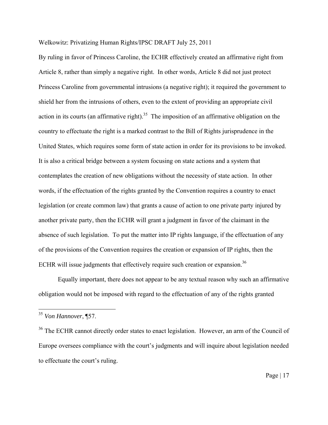By ruling in favor of Princess Caroline, the ECHR effectively created an affirmative right from Article 8, rather than simply a negative right. In other words, Article 8 did not just protect Princess Caroline from governmental intrusions (a negative right); it required the government to shield her from the intrusions of others, even to the extent of providing an appropriate civil action in its courts (an affirmative right).<sup>35</sup> The imposition of an affirmative obligation on the country to effectuate the right is a marked contrast to the Bill of Rights jurisprudence in the United States, which requires some form of state action in order for its provisions to be invoked. It is also a critical bridge between a system focusing on state actions and a system that contemplates the creation of new obligations without the necessity of state action. In other words, if the effectuation of the rights granted by the Convention requires a country to enact legislation (or create common law) that grants a cause of action to one private party injured by another private party, then the ECHR will grant a judgment in favor of the claimant in the absence of such legislation. To put the matter into IP rights language, if the effectuation of any of the provisions of the Convention requires the creation or expansion of IP rights, then the ECHR will issue judgments that effectively require such creation or expansion.<sup>36</sup>

Equally important, there does not appear to be any textual reason why such an affirmative obligation would not be imposed with regard to the effectuation of any of the rights granted

 $\overline{a}$ 

<sup>35</sup> *Von Hannover*, ¶57.

<sup>&</sup>lt;sup>36</sup> The ECHR cannot directly order states to enact legislation. However, an arm of the Council of Europe oversees compliance with the court's judgments and will inquire about legislation needed to effectuate the court's ruling.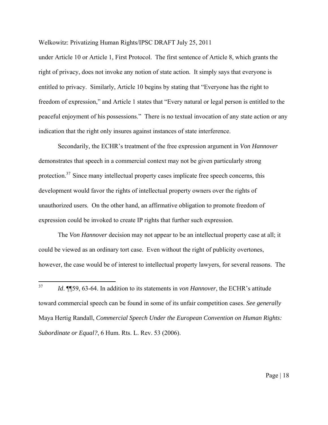under Article 10 or Article 1, First Protocol. The first sentence of Article 8, which grants the right of privacy, does not invoke any notion of state action. It simply says that everyone is entitled to privacy. Similarly, Article 10 begins by stating that "Everyone has the right to freedom of expression," and Article 1 states that "Every natural or legal person is entitled to the peaceful enjoyment of his possessions." There is no textual invocation of any state action or any indication that the right only insures against instances of state interference.

Secondarily, the ECHR's treatment of the free expression argument in *Von Hannover* demonstrates that speech in a commercial context may not be given particularly strong protection.<sup>37</sup> Since many intellectual property cases implicate free speech concerns, this development would favor the rights of intellectual property owners over the rights of unauthorized users. On the other hand, an affirmative obligation to promote freedom of expression could be invoked to create IP rights that further such expression.

 The *Von Hannover* decision may not appear to be an intellectual property case at all; it could be viewed as an ordinary tort case. Even without the right of publicity overtones, however, the case would be of interest to intellectual property lawyers, for several reasons. The

<sup>37</sup> <sup>37</sup> *Id*. ¶¶59, 63-64. In addition to its statements in *von Hannover*, the ECHR's attitude toward commercial speech can be found in some of its unfair competition cases. *See generally* Maya Hertig Randall, *Commercial Speech Under the European Convention on Human Rights: Subordinate or Equal?*, 6 Hum. Rts. L. Rev. 53 (2006).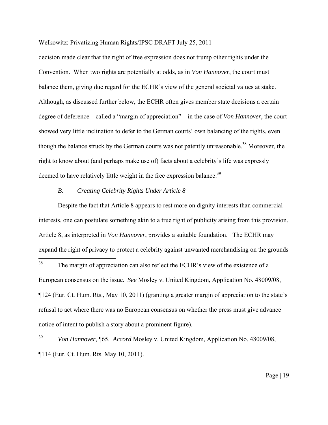decision made clear that the right of free expression does not trump other rights under the Convention. When two rights are potentially at odds, as in *Von Hannover*, the court must balance them, giving due regard for the ECHR's view of the general societal values at stake. Although, as discussed further below, the ECHR often gives member state decisions a certain degree of deference—called a "margin of appreciation"—in the case of *Von Hannover*, the court showed very little inclination to defer to the German courts' own balancing of the rights, even though the balance struck by the German courts was not patently unreasonable.<sup>38</sup> Moreover, the right to know about (and perhaps make use of) facts about a celebrity's life was expressly deemed to have relatively little weight in the free expression balance.<sup>39</sup>

#### *B. Creating Celebrity Rights Under Article 8*

 Despite the fact that Article 8 appears to rest more on dignity interests than commercial interests, one can postulate something akin to a true right of publicity arising from this provision. Article 8, as interpreted in *Von Hannover*, provides a suitable foundation. The ECHR may expand the right of privacy to protect a celebrity against unwanted merchandising on the grounds

 $38\,$ The margin of appreciation can also reflect the ECHR's view of the existence of a European consensus on the issue. *See* Mosley v. United Kingdom, Application No. 48009/08, ¶124 (Eur. Ct. Hum. Rts., May 10, 2011) (granting a greater margin of appreciation to the state's refusal to act where there was no European consensus on whether the press must give advance notice of intent to publish a story about a prominent figure).

<sup>39</sup>*Von Hannover*, ¶65. *Accord* Mosley v. United Kingdom, Application No. 48009/08, ¶114 (Eur. Ct. Hum. Rts. May 10, 2011).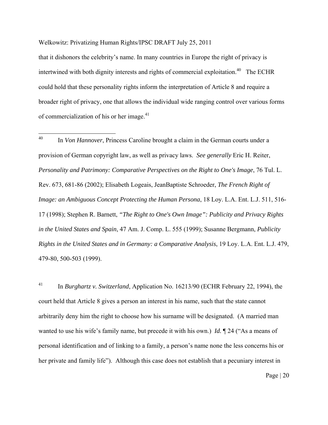that it dishonors the celebrity's name. In many countries in Europe the right of privacy is intertwined with both dignity interests and rights of commercial exploitation.<sup>40</sup> The ECHR could hold that these personality rights inform the interpretation of Article 8 and require a broader right of privacy, one that allows the individual wide ranging control over various forms of commercialization of his or her image.<sup>41</sup>

 $40\,$ In *Von Hannover*, Princess Caroline brought a claim in the German courts under a provision of German copyright law, as well as privacy laws. *See generally* Eric H. Reiter, *Personality and Patrimony: Comparative Perspectives on the Right to One's Image*, 76 Tul. L. Rev. 673, 681-86 (2002); Elisabeth Logeais, JeanBaptiste Schroeder, *The French Right of Image: an Ambiguous Concept Protecting the Human Persona*, 18 Loy. L.A. Ent. L.J. 511, 516- 17 (1998); Stephen R. Barnett, *"The Right to One's Own Image": Publicity and Privacy Rights in the United States and Spain*, 47 Am. J. Comp. L. 555 (1999); Susanne Bergmann, *Publicity Rights in the United States and in Germany: a Comparative Analysis*, 19 Loy. L.A. Ent. L.J. 479, 479-80, 500-503 (1999).

41 In *Burghartz v. Switzerland*, Application No. 16213/90 (ECHR February 22, 1994), the court held that Article 8 gives a person an interest in his name, such that the state cannot arbitrarily deny him the right to choose how his surname will be designated. (A married man wanted to use his wife's family name, but precede it with his own.) *Id.* ¶ 24 ("As a means of personal identification and of linking to a family, a person's name none the less concerns his or her private and family life"). Although this case does not establish that a pecuniary interest in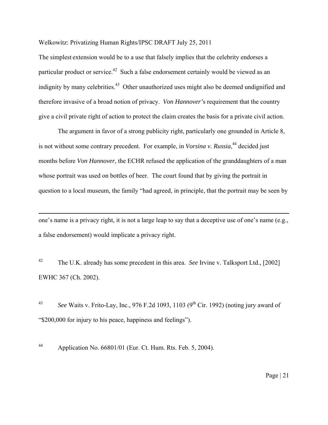The simplest extension would be to a use that falsely implies that the celebrity endorses a particular product or service.<sup>42</sup> Such a false endorsement certainly would be viewed as an indignity by many celebrities.<sup>43</sup> Other unauthorized uses might also be deemed undignified and therefore invasive of a broad notion of privacy. *Von Hannover'*s requirement that the country give a civil private right of action to protect the claim creates the basis for a private civil action.

The argument in favor of a strong publicity right, particularly one grounded in Article 8, is not without some contrary precedent. For example, in *Vorsina v. Russia*, 44 decided just months before *Von Hannover*, the ECHR refused the application of the granddaughters of a man whose portrait was used on bottles of beer. The court found that by giving the portrait in question to a local museum, the family "had agreed, in principle, that the portrait may be seen by

one's name is a privacy right, it is not a large leap to say that a deceptive use of one's name (e.g., a false endorsement) would implicate a privacy right.

42 The U.K. already has some precedent in this area. *See* Irvine v. Talksport Ltd., [2002] EWHC 367 (Ch. 2002).

<sup>43</sup> See Waits v. Frito-Lay, Inc., 976 F.2d 1093, 1103 (9<sup>th</sup> Cir. 1992) (noting jury award of "\$200,000 for injury to his peace, happiness and feelings").

44 Application No. 66801/01 (Eur. Ct. Hum. Rts. Feb. 5, 2004).

 $\overline{a}$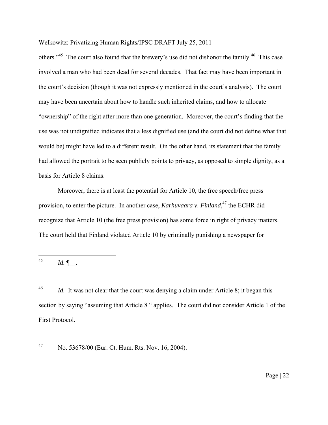others."<sup>45</sup> The court also found that the brewery's use did not dishonor the family.<sup>46</sup> This case involved a man who had been dead for several decades. That fact may have been important in the court's decision (though it was not expressly mentioned in the court's analysis). The court may have been uncertain about how to handle such inherited claims, and how to allocate "ownership" of the right after more than one generation. Moreover, the court's finding that the use was not undignified indicates that a less dignified use (and the court did not define what that would be) might have led to a different result. On the other hand, its statement that the family had allowed the portrait to be seen publicly points to privacy, as opposed to simple dignity, as a basis for Article 8 claims.

 Moreover, there is at least the potential for Article 10, the free speech/free press provision, to enter the picture. In another case, *Karhuvaara v. Finland*, 47 the ECHR did recognize that Article 10 (the free press provision) has some force in right of privacy matters. The court held that Finland violated Article 10 by criminally punishing a newspaper for

45 <sup>45</sup>*Id.* ¶\_\_.

<sup>46</sup>*Id.* It was not clear that the court was denying a claim under Article 8; it began this section by saying "assuming that Article 8 " applies. The court did not consider Article 1 of the First Protocol.

47 No. 53678/00 (Eur. Ct. Hum. Rts. Nov. 16, 2004).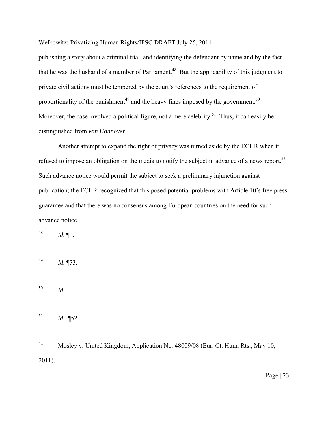publishing a story about a criminal trial, and identifying the defendant by name and by the fact that he was the husband of a member of Parliament.<sup>48</sup> But the applicability of this judgment to private civil actions must be tempered by the court's references to the requirement of proportionality of the punishment $^{49}$  and the heavy fines imposed by the government.<sup>50</sup> Moreover, the case involved a political figure, not a mere celebrity.<sup>51</sup> Thus, it can easily be distinguished from *von Hannover*.

 Another attempt to expand the right of privacy was turned aside by the ECHR when it refused to impose an obligation on the media to notify the subject in advance of a news report.<sup>52</sup> Such advance notice would permit the subject to seek a preliminary injunction against publication; the ECHR recognized that this posed potential problems with Article 10's free press guarantee and that there was no consensus among European countries on the need for such advance notice.

48 <sup>48</sup>*Id.* ¶–.

<sup>49</sup>*Id.* ¶53.

<sup>50</sup>*Id.*

<sup>51</sup>*Id.* ¶52.

52 Mosley v. United Kingdom, Application No. 48009/08 (Eur. Ct. Hum. Rts., May 10, 2011).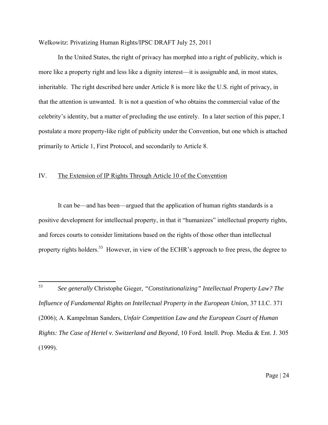In the United States, the right of privacy has morphed into a right of publicity, which is more like a property right and less like a dignity interest—it is assignable and, in most states, inheritable. The right described here under Article 8 is more like the U.S. right of privacy, in that the attention is unwanted. It is not a question of who obtains the commercial value of the celebrity's identity, but a matter of precluding the use entirely. In a later section of this paper, I postulate a more property-like right of publicity under the Convention, but one which is attached primarily to Article 1, First Protocol, and secondarily to Article 8.

## IV. The Extension of IP Rights Through Article 10 of the Convention

 It can be—and has been—argued that the application of human rights standards is a positive development for intellectual property, in that it "humanizes" intellectual property rights, and forces courts to consider limitations based on the rights of those other than intellectual property rights holders.<sup>53</sup> However, in view of the ECHR's approach to free press, the degree to

<sup>53</sup> <sup>53</sup>*See generally* Christophe Gieger, *"Constitutionalizing" Intellectual Property Law? The Influence of Fundamental Rights on Intellectual Property in the European Union*, 37 I.I.C. 371 (2006); A. Kampelman Sanders, *Unfair Competition Law and the European Court of Human Rights: The Case of Hertel v. Switzerland and Beyond*, 10 Ford. Intell. Prop. Media & Ent. J. 305 (1999).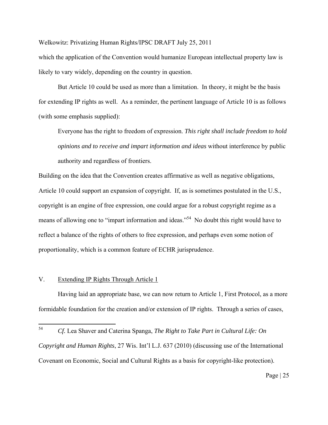which the application of the Convention would humanize European intellectual property law is likely to vary widely, depending on the country in question.

 But Article 10 could be used as more than a limitation. In theory, it might be the basis for extending IP rights as well. As a reminder, the pertinent language of Article 10 is as follows (with some emphasis supplied):

Everyone has the right to freedom of expression. *This right shall include freedom to hold opinions and to receive and impart information and ideas* without interference by public authority and regardless of frontiers.

Building on the idea that the Convention creates affirmative as well as negative obligations, Article 10 could support an expansion of copyright. If, as is sometimes postulated in the U.S., copyright is an engine of free expression, one could argue for a robust copyright regime as a means of allowing one to "impart information and ideas."<sup>54</sup> No doubt this right would have to reflect a balance of the rights of others to free expression, and perhaps even some notion of proportionality, which is a common feature of ECHR jurisprudence.

## V. Extending IP Rights Through Article 1

 Having laid an appropriate base, we can now return to Article 1, First Protocol, as a more formidable foundation for the creation and/or extension of IP rights. Through a series of cases,

<sup>54</sup> 54 *Cf.* Lea Shaver and Caterina Spanga, *The Right to Take Part in Cultural Life: On Copyright and Human Rights*, 27 Wis. Int'l L.J. 637 (2010) (discussing use of the International Covenant on Economic, Social and Cultural Rights as a basis for copyright-like protection).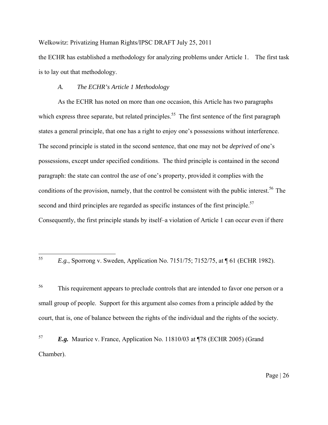the ECHR has established a methodology for analyzing problems under Article 1. The first task is to lay out that methodology.

## *A. The ECHR's Article 1 Methodology*

 As the ECHR has noted on more than one occasion, this Article has two paragraphs which express three separate, but related principles.<sup>55</sup> The first sentence of the first paragraph states a general principle, that one has a right to enjoy one's possessions without interference. The second principle is stated in the second sentence, that one may not be *deprived* of one's possessions, except under specified conditions. The third principle is contained in the second paragraph: the state can control the *use* of one's property, provided it complies with the conditions of the provision, namely, that the control be consistent with the public interest.<sup>56</sup> The second and third principles are regarded as specific instances of the first principle.<sup>57</sup> Consequently, the first principle stands by itself–a violation of Article 1 can occur even if there

55

<sup>56</sup> This requirement appears to preclude controls that are intended to favor one person or a small group of people. Support for this argument also comes from a principle added by the court, that is, one of balance between the rights of the individual and the rights of the society.

<sup>57</sup> *E.g.* Maurice v. France, Application No. 11810/03 at ¶78 (ECHR 2005) (Grand Chamber).

<sup>55</sup>*E.g.*, Sporrong v. Sweden, Application No. 7151/75; 7152/75, at ¶ 61 (ECHR 1982).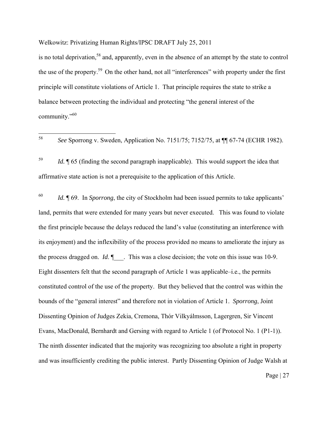is no total deprivation,<sup>58</sup> and, apparently, even in the absence of an attempt by the state to control the use of the property.59 On the other hand, not all "interferences" with property under the first principle will constitute violations of Article 1. That principle requires the state to strike a balance between protecting the individual and protecting "the general interest of the community."<sup>60</sup>

<sup>59</sup> *Id.* ¶ 65 (finding the second paragraph inapplicable). This would support the idea that affirmative state action is not a prerequisite to the application of this Article.

<sup>60</sup> *Id.* ¶ 69. In *Sporrong*, the city of Stockholm had been issued permits to take applicants' land, permits that were extended for many years but never executed. This was found to violate the first principle because the delays reduced the land's value (constituting an interference with its enjoyment) and the inflexibility of the process provided no means to ameliorate the injury as the process dragged on. *Id*.  $\P$ . This was a close decision; the vote on this issue was 10-9. Eight dissenters felt that the second paragraph of Article 1 was applicable–i.e., the permits constituted control of the use of the property. But they believed that the control was within the bounds of the "general interest" and therefore not in violation of Article 1. *Sporrong*, Joint Dissenting Opinion of Judges Zekia, Cremona, Thór Vilkyálmsson, Lagergren, Sir Vincent Evans, MacDonald, Bernhardt and Gersing with regard to Article 1 (of Protocol No. 1 (P1-1)). The ninth dissenter indicated that the majority was recognizing too absolute a right in property and was insufficiently crediting the public interest. Partly Dissenting Opinion of Judge Walsh at

<sup>58</sup> <sup>58</sup> *See* Sporrong v. Sweden, Application No. 7151/75; 7152/75, at ¶¶ 67-74 (ECHR 1982).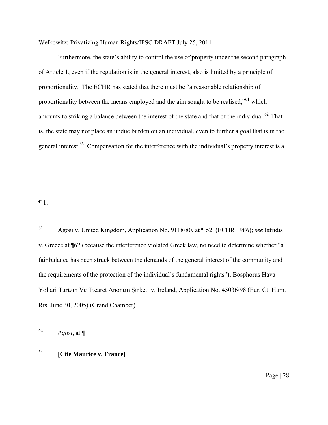Furthermore, the state's ability to control the use of property under the second paragraph of Article 1, even if the regulation is in the general interest, also is limited by a principle of proportionality. The ECHR has stated that there must be "a reasonable relationship of proportionality between the means employed and the aim sought to be realised,"<sup>61</sup> which amounts to striking a balance between the interest of the state and that of the individual.<sup>62</sup> That is, the state may not place an undue burden on an individual, even to further a goal that is in the general interest.<sup>63</sup> Compensation for the interference with the individual's property interest is a

 $\P1$ .

 $\overline{a}$ 

61 Agosi v. United Kingdom, Application No. 9118/80, at ¶ 52. (ECHR 1986); *see* Iatridis v. Greece at ¶62 (because the interference violated Greek law, no need to determine whether "a fair balance has been struck between the demands of the general interest of the community and the requirements of the protection of the individual's fundamental rights"); Bosphorus Hava Yollari Turιzm Ve Tιcaret Anonιm Şιrketι v. Ireland, Application No. 45036/98 (Eur. Ct. Hum. Rts. June 30, 2005) (Grand Chamber) .

 $Agosi$ , at  $\P$ —.

## 63 [**Cite Maurice v. France]**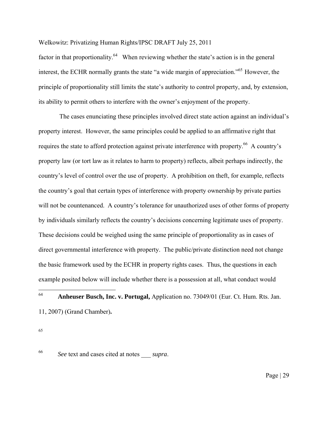factor in that proportionality.<sup>64</sup> When reviewing whether the state's action is in the general interest, the ECHR normally grants the state "a wide margin of appreciation."<sup>65</sup> However, the principle of proportionality still limits the state's authority to control property, and, by extension, its ability to permit others to interfere with the owner's enjoyment of the property.

 The cases enunciating these principles involved direct state action against an individual's property interest. However, the same principles could be applied to an affirmative right that requires the state to afford protection against private interference with property.<sup>66</sup> A country's property law (or tort law as it relates to harm to property) reflects, albeit perhaps indirectly, the country's level of control over the use of property. A prohibition on theft, for example, reflects the country's goal that certain types of interference with property ownership by private parties will not be countenanced. A country's tolerance for unauthorized uses of other forms of property by individuals similarly reflects the country's decisions concerning legitimate uses of property. These decisions could be weighed using the same principle of proportionality as in cases of direct governmental interference with property. The public/private distinction need not change the basic framework used by the ECHR in property rights cases. Thus, the questions in each example posited below will include whether there is a possession at all, what conduct would

## 64 <sup>64</sup>**Anheuser Busch, Inc. v. Portugal,** Application no. 73049/01 (Eur. Ct. Hum. Rts. Jan. 11, 2007) (Grand Chamber)**.**

65

<sup>66</sup> *See* text and cases cited at notes \_\_\_ *supra*.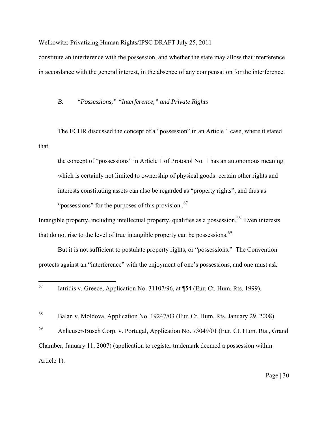constitute an interference with the possession, and whether the state may allow that interference in accordance with the general interest, in the absence of any compensation for the interference.

## *B. "Possessions," "Interference," and Private Rights*

The ECHR discussed the concept of a "possession" in an Article 1 case, where it stated that

the concept of "possessions" in Article 1 of Protocol No. 1 has an autonomous meaning which is certainly not limited to ownership of physical goods: certain other rights and interests constituting assets can also be regarded as "property rights", and thus as "possessions" for the purposes of this provision .<sup>67</sup>

Intangible property, including intellectual property, qualifies as a possession.<sup>68</sup> Even interests that do not rise to the level of true intangible property can be possessions.<sup>69</sup>

 But it is not sufficient to postulate property rights, or "possessions." The Convention protects against an "interference" with the enjoyment of one's possessions, and one must ask

68 Balan v. Moldova, Application No. 19247/03 (Eur. Ct. Hum. Rts. January 29, 2008)

69 Anheuser-Busch Corp. v. Portugal, Application No. 73049/01 (Eur. Ct. Hum. Rts., Grand Chamber, January 11, 2007) (application to register trademark deemed a possession within Article 1).

<sup>67</sup> Iatridis v. Greece, Application No. 31107/96, at ¶54 (Eur. Ct. Hum. Rts. 1999).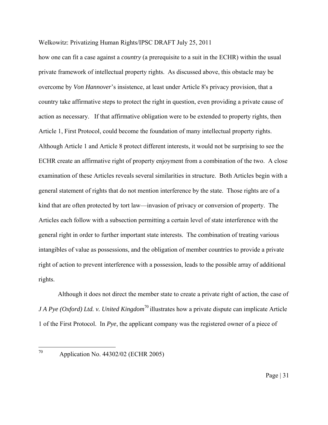how one can fit a case against a *country* (a prerequisite to a suit in the ECHR) within the usual private framework of intellectual property rights. As discussed above, this obstacle may be overcome by *Von Hannover*'s insistence, at least under Article 8's privacy provision, that a country take affirmative steps to protect the right in question, even providing a private cause of action as necessary. If that affirmative obligation were to be extended to property rights, then Article 1, First Protocol, could become the foundation of many intellectual property rights. Although Article 1 and Article 8 protect different interests, it would not be surprising to see the ECHR create an affirmative right of property enjoyment from a combination of the two. A close examination of these Articles reveals several similarities in structure. Both Articles begin with a general statement of rights that do not mention interference by the state. Those rights are of a kind that are often protected by tort law—invasion of privacy or conversion of property. The Articles each follow with a subsection permitting a certain level of state interference with the general right in order to further important state interests. The combination of treating various intangibles of value as possessions, and the obligation of member countries to provide a private right of action to prevent interference with a possession, leads to the possible array of additional rights.

 Although it does not direct the member state to create a private right of action, the case of *JA Pye (Oxford) Ltd. v. United Kingdom*<sup>70</sup> illustrates how a private dispute can implicate Article 1 of the First Protocol. In *Pye*, the applicant company was the registered owner of a piece of

Application No. 44302/02 (ECHR 2005)

70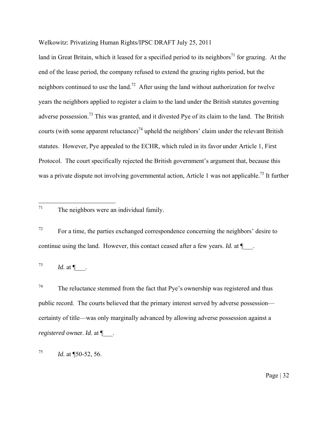land in Great Britain, which it leased for a specified period to its neighbors<sup>71</sup> for grazing. At the end of the lease period, the company refused to extend the grazing rights period, but the neighbors continued to use the land.<sup>72</sup> After using the land without authorization for twelve years the neighbors applied to register a claim to the land under the British statutes governing adverse possession.<sup>73</sup> This was granted, and it divested Pye of its claim to the land. The British courts (with some apparent reluctance)<sup>74</sup> upheld the neighbors' claim under the relevant British statutes. However, Pye appealed to the ECHR, which ruled in its favor under Article 1, First Protocol. The court specifically rejected the British government's argument that, because this was a private dispute not involving governmental action, Article 1 was not applicable.<sup>75</sup> It further

 $72$  For a time, the parties exchanged correspondence concerning the neighbors' desire to continue using the land. However, this contact ceased after a few years. *Id.* at  $\P$ 

 $^{73}$  *Id.* at  $\P$ .

 $74$  The reluctance stemmed from the fact that Pye's ownership was registered and thus public record. The courts believed that the primary interest served by adverse possession certainty of title—was only marginally advanced by allowing adverse possession against a *registered* owner. *Id.* at ¶\_\_\_.

<sup>75</sup> *Id.* at ¶50-52, 56.

<sup>71</sup> The neighbors were an individual family.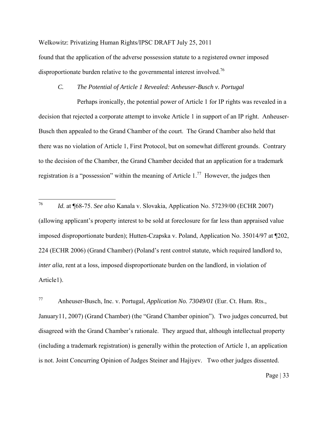found that the application of the adverse possession statute to a registered owner imposed disproportionate burden relative to the governmental interest involved.<sup>76</sup>

## *C. The Potential of Article 1 Revealed: Anheuser-Busch v. Portugal*

 Perhaps ironically, the potential power of Article 1 for IP rights was revealed in a decision that rejected a corporate attempt to invoke Article 1 in support of an IP right. Anheuser-Busch then appealed to the Grand Chamber of the court. The Grand Chamber also held that there was no violation of Article 1, First Protocol, but on somewhat different grounds. Contrary to the decision of the Chamber, the Grand Chamber decided that an application for a trademark registration *is* a "possession" within the meaning of Article 1.77 However, the judges then

77 Anheuser-Busch, Inc. v. Portugal, *Application No. 73049/01* (Eur. Ct. Hum. Rts., January11, 2007) (Grand Chamber) (the "Grand Chamber opinion"). Two judges concurred, but disagreed with the Grand Chamber's rationale. They argued that, although intellectual property (including a trademark registration) is generally within the protection of Article 1, an application is not. Joint Concurring Opinion of Judges Steiner and Hajiyev. Two other judges dissented.

 $76\,$ <sup>76</sup> *Id.* at ¶68-75. *See also* Kanala v. Slovakia, Application No. 57239/00 (ECHR 2007) (allowing applicant's property interest to be sold at foreclosure for far less than appraised value imposed disproportionate burden); Hutten-Czapska v. Poland, Application No. 35014/97 at ¶202, 224 (ECHR 2006) (Grand Chamber) (Poland's rent control statute, which required landlord to, *inter alia*, rent at a loss, imposed disproportionate burden on the landlord, in violation of Article1).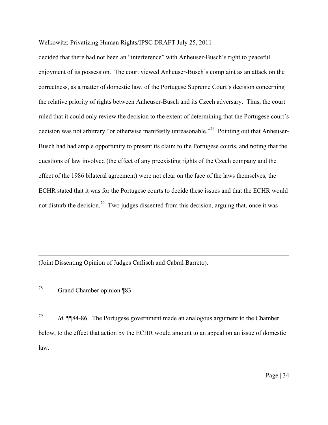decided that there had not been an "interference" with Anheuser-Busch's right to peaceful enjoyment of its possession. The court viewed Anheuser-Busch's complaint as an attack on the correctness, as a matter of domestic law, of the Portugese Supreme Court's decision concerning the relative priority of rights between Anheuser-Busch and its Czech adversary. Thus, the court ruled that it could only review the decision to the extent of determining that the Portugese court's decision was not arbitrary "or otherwise manifestly unreasonable."78 Pointing out that Anheuser-Busch had had ample opportunity to present its claim to the Portugese courts, and noting that the questions of law involved (the effect of any preexisting rights of the Czech company and the effect of the 1986 bilateral agreement) were not clear on the face of the laws themselves, the ECHR stated that it was for the Portugese courts to decide these issues and that the ECHR would not disturb the decision.<sup>79</sup> Two judges dissented from this decision, arguing that, once it was

(Joint Dissenting Opinion of Judges Caflisch and Cabral Barreto).

78 Grand Chamber opinion ¶83.

1

<sup>79</sup>*Id.* ¶¶84-86. The Portugese government made an analogous argument to the Chamber below, to the effect that action by the ECHR would amount to an appeal on an issue of domestic law.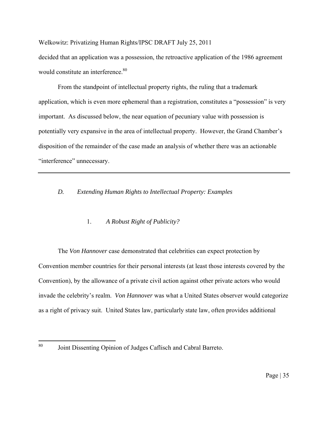decided that an application was a possession, the retroactive application of the 1986 agreement would constitute an interference.<sup>80</sup>

From the standpoint of intellectual property rights, the ruling that a trademark application, which is even more ephemeral than a registration, constitutes a "possession" is very important. As discussed below, the near equation of pecuniary value with possession is potentially very expansive in the area of intellectual property. However, the Grand Chamber's disposition of the remainder of the case made an analysis of whether there was an actionable "interference" unnecessary.

## *D. Extending Human Rights to Intellectual Property: Examples*

## 1. *A Robust Right of Publicity?*

The *Von Hannover* case demonstrated that celebrities can expect protection by Convention member countries for their personal interests (at least those interests covered by the Convention), by the allowance of a private civil action against other private actors who would invade the celebrity's realm. *Von Hannover* was what a United States observer would categorize as a right of privacy suit. United States law, particularly state law, often provides additional

 $80^{\circ}$ Joint Dissenting Opinion of Judges Caflisch and Cabral Barreto.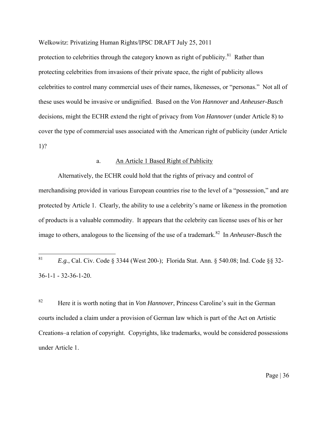protection to celebrities through the category known as right of publicity. $81$  Rather than protecting celebrities from invasions of their private space, the right of publicity allows celebrities to control many commercial uses of their names, likenesses, or "personas." Not all of these uses would be invasive or undignified. Based on the *Von Hannover* and *Anheuser-Busch* decisions, might the ECHR extend the right of privacy from *Von Hannover* (under Article 8) to cover the type of commercial uses associated with the American right of publicity (under Article 1)?

## a. An Article 1 Based Right of Publicity

 Alternatively, the ECHR could hold that the rights of privacy and control of merchandising provided in various European countries rise to the level of a "possession," and are protected by Article 1. Clearly, the ability to use a celebrity's name or likeness in the promotion of products is a valuable commodity. It appears that the celebrity can license uses of his or her image to others, analogous to the licensing of the use of a trademark.<sup>82</sup> In *Anheuser-Busch* the

<sup>82</sup> Here it is worth noting that in *Von Hannover*, Princess Caroline's suit in the German courts included a claim under a provision of German law which is part of the Act on Artistic Creations–a relation of copyright. Copyrights, like trademarks, would be considered possessions under Article 1.

<sup>81</sup> <sup>81</sup>*E.g.*, Cal. Civ. Code § 3344 (West 200-); Florida Stat. Ann. § 540.08; Ind. Code §§ 32- 36-1-1 - 32-36-1-20.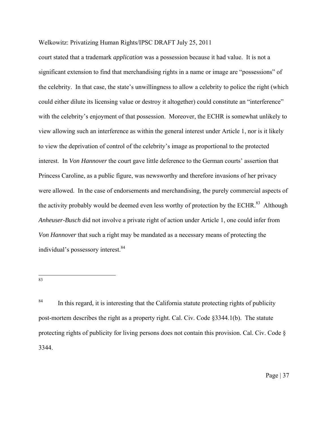court stated that a trademark *application* was a possession because it had value. It is not a significant extension to find that merchandising rights in a name or image are "possessions" of the celebrity. In that case, the state's unwillingness to allow a celebrity to police the right (which could either dilute its licensing value or destroy it altogether) could constitute an "interference" with the celebrity's enjoyment of that possession. Moreover, the ECHR is somewhat unlikely to view allowing such an interference as within the general interest under Article 1, nor is it likely to view the deprivation of control of the celebrity's image as proportional to the protected interest. In *Von Hannover* the court gave little deference to the German courts' assertion that Princess Caroline, as a public figure, was newsworthy and therefore invasions of her privacy were allowed. In the case of endorsements and merchandising, the purely commercial aspects of the activity probably would be deemed even less worthy of protection by the ECHR.<sup>83</sup> Although *Anheuser-Busch* did not involve a private right of action under Article 1, one could infer from *Von Hannover* that such a right may be mandated as a necessary means of protecting the individual's possessory interest.<sup>84</sup>

83

<sup>&</sup>lt;sup>84</sup> In this regard, it is interesting that the California statute protecting rights of publicity post-mortem describes the right as a property right. Cal. Civ. Code §3344.1(b). The statute protecting rights of publicity for living persons does not contain this provision. Cal. Civ. Code § 3344.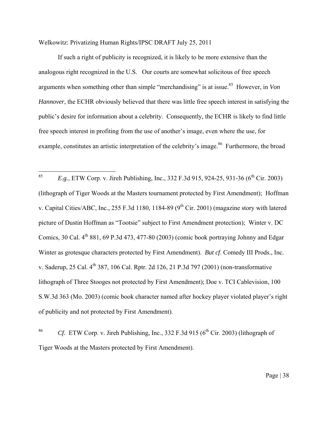If such a right of publicity is recognized, it is likely to be more extensive than the analogous right recognized in the U.S. Our courts are somewhat solicitous of free speech arguments when something other than simple "merchandising" is at issue.<sup>85</sup> However, in *Von Hannover*, the ECHR obviously believed that there was little free speech interest in satisfying the public's desire for information about a celebrity. Consequently, the ECHR is likely to find little free speech interest in profiting from the use of another's image, even where the use, for example, constitutes an artistic interpretation of the celebrity's image.<sup>86</sup> Furthermore, the broad

85 *E.g.*, ETW Corp. v. Jireh Publishing, Inc., 332 F.3d 915, 924-25, 931-36 (6<sup>th</sup> Cir. 2003) (lithograph of Tiger Woods at the Masters tournament protected by First Amendment); Hoffman v. Capital Cities/ABC, Inc., 255 F.3d 1180, 1184-89 ( $9<sup>th</sup>$  Cir. 2001) (magazine story with latered picture of Dustin Hoffman as "Tootsie" subject to First Amendment protection); Winter v. DC Comics, 30 Cal.  $4^{th}$  881, 69 P.3d 473, 477-80 (2003) (comic book portraying Johnny and Edgar Winter as grotesque characters protected by First Amendment). *But cf*. Comedy III Prods., Inc. v. Saderup, 25 Cal. 4th 387, 106 Cal. Rptr. 2d 126, 21 P.3d 797 (2001) (non-transformative lithograph of Three Stooges not protected by First Amendment); Doe v. TCI Cablevision, 100 S.W.3d 363 (Mo. 2003) (comic book character named after hockey player violated player's right of publicity and not protected by First Amendment).

<sup>86</sup> Cf. ETW Corp. v. Jireh Publishing, Inc., 332 F.3d 915 (6<sup>th</sup> Cir. 2003) (lithograph of Tiger Woods at the Masters protected by First Amendment).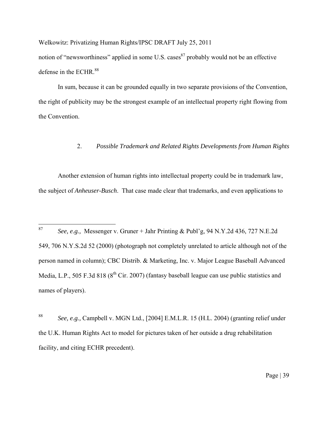Welkowitz: Privatizing Human Rights/IPSC DRAFT July 25, 2011 notion of "newsworthiness" applied in some U.S. cases  $87$  probably would not be an effective defense in the ECHR.<sup>88</sup>

In sum, because it can be grounded equally in two separate provisions of the Convention, the right of publicity may be the strongest example of an intellectual property right flowing from the Convention.

## 2. *Possible Trademark and Related Rights Developments from Human Rights*

Another extension of human rights into intellectual property could be in trademark law, the subject of *Anheuser-Busch*. That case made clear that trademarks, and even applications to

<sup>87</sup> <sup>87</sup>*See, e.g.,* Messenger v. Gruner + Jahr Printing & Publ'g, 94 N.Y.2d 436, 727 N.E.2d 549, 706 N.Y.S.2d 52 (2000) (photograph not completely unrelated to article although not of the person named in column); CBC Distrib. & Marketing, Inc. v. Major League Baseball Advanced Media, L.P., 505 F.3d 818 ( $8<sup>th</sup>$  Cir. 2007) (fantasy baseball league can use public statistics and names of players).

<sup>88</sup>*See, e.g.,* Campbell v. MGN Ltd., [2004] E.M.L.R. 15 (H.L. 2004) (granting relief under the U.K. Human Rights Act to model for pictures taken of her outside a drug rehabilitation facility, and citing ECHR precedent).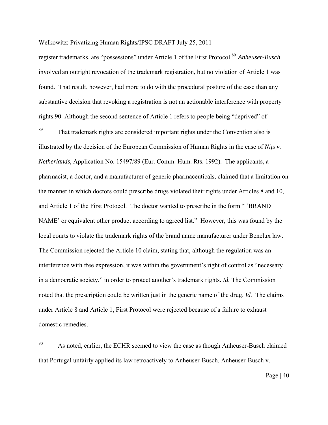register trademarks, are "possessions" under Article 1 of the First Protocol.89 *Anheuser-Busch* involved an outright revocation of the trademark registration, but no violation of Article 1 was found. That result, however, had more to do with the procedural posture of the case than any substantive decision that revoking a registration is not an actionable interference with property rights.90 Although the second sentence of Article 1 refers to people being "deprived" of

89 That trademark rights are considered important rights under the Convention also is illustrated by the decision of the European Commission of Human Rights in the case of *Nijs v. Netherlands*, Application No. 15497/89 (Eur. Comm. Hum. Rts. 1992). The applicants, a pharmacist, a doctor, and a manufacturer of generic pharmaceuticals, claimed that a limitation on the manner in which doctors could prescribe drugs violated their rights under Articles 8 and 10, and Article 1 of the First Protocol. The doctor wanted to prescribe in the form " 'BRAND NAME' or equivalent other product according to agreed list." However, this was found by the local courts to violate the trademark rights of the brand name manufacturer under Benelux law. The Commission rejected the Article 10 claim, stating that, although the regulation was an interference with free expression, it was within the government's right of control as "necessary in a democratic society," in order to protect another's trademark rights. *Id.* The Commission noted that the prescription could be written just in the generic name of the drug. *Id.* The claims under Article 8 and Article 1, First Protocol were rejected because of a failure to exhaust domestic remedies.

<sup>90</sup> As noted, earlier, the ECHR seemed to view the case as though Anheuser-Busch claimed that Portugal unfairly applied its law retroactively to Anheuser-Busch. Anheuser-Busch v.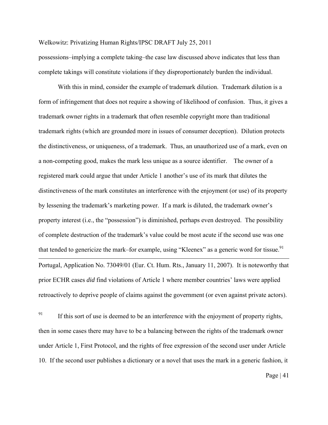possessions–implying a complete taking–the case law discussed above indicates that less than complete takings will constitute violations if they disproportionately burden the individual.

With this in mind, consider the example of trademark dilution. Trademark dilution is a form of infringement that does not require a showing of likelihood of confusion. Thus, it gives a trademark owner rights in a trademark that often resemble copyright more than traditional trademark rights (which are grounded more in issues of consumer deception). Dilution protects the distinctiveness, or uniqueness, of a trademark. Thus, an unauthorized use of a mark, even on a non-competing good, makes the mark less unique as a source identifier. The owner of a registered mark could argue that under Article 1 another's use of its mark that dilutes the distinctiveness of the mark constitutes an interference with the enjoyment (or use) of its property by lessening the trademark's marketing power. If a mark is diluted, the trademark owner's property interest (i.e., the "possession") is diminished, perhaps even destroyed. The possibility of complete destruction of the trademark's value could be most acute if the second use was one that tended to genericize the mark–for example, using "Kleenex" as a generic word for tissue.<sup>91</sup> <u>.</u> Portugal, Application No. 73049/01 (Eur. Ct. Hum. Rts., January 11, 2007). It is noteworthy that prior ECHR cases *did* find violations of Article 1 where member countries' laws were applied retroactively to deprive people of claims against the government (or even against private actors).

 $91$  If this sort of use is deemed to be an interference with the enjoyment of property rights, then in some cases there may have to be a balancing between the rights of the trademark owner under Article 1, First Protocol, and the rights of free expression of the second user under Article 10. If the second user publishes a dictionary or a novel that uses the mark in a generic fashion, it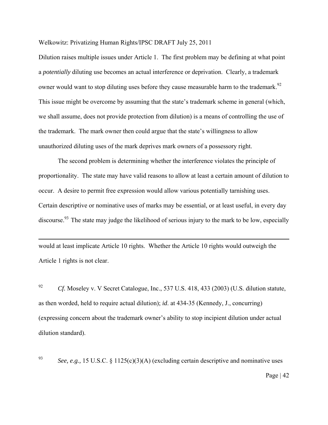Dilution raises multiple issues under Article 1. The first problem may be defining at what point a *potentially* diluting use becomes an actual interference or deprivation. Clearly, a trademark owner would want to stop diluting uses before they cause measurable harm to the trademark.<sup>92</sup> This issue might be overcome by assuming that the state's trademark scheme in general (which, we shall assume, does not provide protection from dilution) is a means of controlling the use of the trademark. The mark owner then could argue that the state's willingness to allow unauthorized diluting uses of the mark deprives mark owners of a possessory right.

The second problem is determining whether the interference violates the principle of proportionality. The state may have valid reasons to allow at least a certain amount of dilution to occur. A desire to permit free expression would allow various potentially tarnishing uses. Certain descriptive or nominative uses of marks may be essential, or at least useful, in every day discourse.<sup>93</sup> The state may judge the likelihood of serious injury to the mark to be low, especially

would at least implicate Article 10 rights. Whether the Article 10 rights would outweigh the Article 1 rights is not clear.

 $\overline{a}$ 

<sup>92</sup> Cf. Moseley v. V Secret Catalogue, Inc., 537 U.S. 418, 433 (2003) (U.S. dilution statute, as then worded, held to require actual dilution); *id*. at 434-35 (Kennedy, J., concurring) (expressing concern about the trademark owner's ability to stop incipient dilution under actual dilution standard).

<sup>93</sup> *See, e.g.,* 15 U.S.C. § 1125(c)(3)(A) (excluding certain descriptive and nominative uses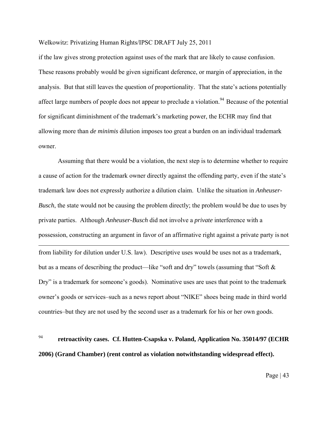if the law gives strong protection against uses of the mark that are likely to cause confusion. These reasons probably would be given significant deference, or margin of appreciation, in the analysis. But that still leaves the question of proportionality. That the state's actions potentially affect large numbers of people does not appear to preclude a violation.<sup>94</sup> Because of the potential for significant diminishment of the trademark's marketing power, the ECHR may find that allowing more than *de minimis* dilution imposes too great a burden on an individual trademark owner.

Assuming that there would be a violation, the next step is to determine whether to require a cause of action for the trademark owner directly against the offending party, even if the state's trademark law does not expressly authorize a dilution claim. Unlike the situation in *Anheuser-Busch*, the state would not be causing the problem directly; the problem would be due to uses by private parties. Although *Anheuser-Busch* did not involve a *private* interference with a possession, constructing an argument in favor of an affirmative right against a private party is not <u>.</u> from liability for dilution under U.S. law). Descriptive uses would be uses not as a trademark, but as a means of describing the product—like "soft and dry" towels (assuming that "Soft & Dry" is a trademark for someone's goods). Nominative uses are uses that point to the trademark owner's goods or services–such as a news report about "NIKE" shoes being made in third world countries–but they are not used by the second user as a trademark for his or her own goods.

# <sup>94</sup> **retroactivity cases. Cf. Hutten-Csapska v. Poland, Application No. 35014/97 (ECHR 2006) (Grand Chamber) (rent control as violation notwithstanding widespread effect).**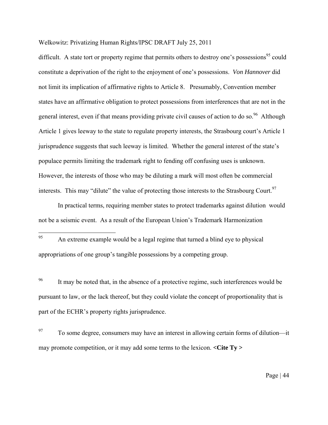difficult. A state tort or property regime that permits others to destroy one's possessions<sup>95</sup> could constitute a deprivation of the right to the enjoyment of one's possessions. *Von Hannover* did not limit its implication of affirmative rights to Article 8. Presumably, Convention member states have an affirmative obligation to protect possessions from interferences that are not in the general interest, even if that means providing private civil causes of action to do so.<sup>96</sup> Although Article 1 gives leeway to the state to regulate property interests, the Strasbourg court's Article 1 jurisprudence suggests that such leeway is limited. Whether the general interest of the state's populace permits limiting the trademark right to fending off confusing uses is unknown. However, the interests of those who may be diluting a mark will most often be commercial interests. This may "dilute" the value of protecting those interests to the Strasbourg Court.<sup>97</sup>

In practical terms, requiring member states to protect trademarks against dilution would not be a seismic event. As a result of the European Union's Trademark Harmonization

<sup>96</sup> It may be noted that, in the absence of a protective regime, such interferences would be pursuant to law, or the lack thereof, but they could violate the concept of proportionality that is part of the ECHR's property rights jurisprudence.

 $^{97}$  To some degree, consumers may have an interest in allowing certain forms of dilution—it may promote competition, or it may add some terms to the lexicon. **<Cite Ty >**

<sup>95</sup> An extreme example would be a legal regime that turned a blind eye to physical appropriations of one group's tangible possessions by a competing group.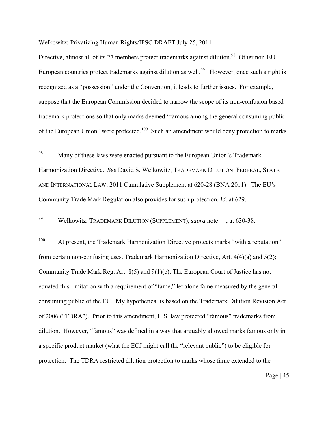Directive, almost all of its 27 members protect trademarks against dilution.<sup>98</sup> Other non-EU European countries protect trademarks against dilution as well.<sup>99</sup> However, once such a right is recognized as a "possession" under the Convention, it leads to further issues. For example, suppose that the European Commission decided to narrow the scope of its non-confusion based trademark protections so that only marks deemed "famous among the general consuming public of the European Union" were protected.<sup>100</sup> Such an amendment would deny protection to marks

99 Welkowitz, TRADEMARK DILUTION (SUPPLEMENT), *supra* note \_\_, at 630-38.

<sup>100</sup> At present, the Trademark Harmonization Directive protects marks "with a reputation" from certain non-confusing uses. Trademark Harmonization Directive, Art. 4(4)(a) and 5(2); Community Trade Mark Reg. Art. 8(5) and 9(1)(c). The European Court of Justice has not equated this limitation with a requirement of "fame," let alone fame measured by the general consuming public of the EU. My hypothetical is based on the Trademark Dilution Revision Act of 2006 ("TDRA"). Prior to this amendment, U.S. law protected "famous" trademarks from dilution. However, "famous" was defined in a way that arguably allowed marks famous only in a specific product market (what the ECJ might call the "relevant public") to be eligible for protection. The TDRA restricted dilution protection to marks whose fame extended to the

<sup>98</sup> Many of these laws were enacted pursuant to the European Union's Trademark Harmonization Directive. *See* David S. Welkowitz, TRADEMARK DILUTION: FEDERAL, STATE, AND INTERNATIONAL LAW, 2011 Cumulative Supplement at 620-28 (BNA 2011). The EU's Community Trade Mark Regulation also provides for such protection. *Id*. at 629.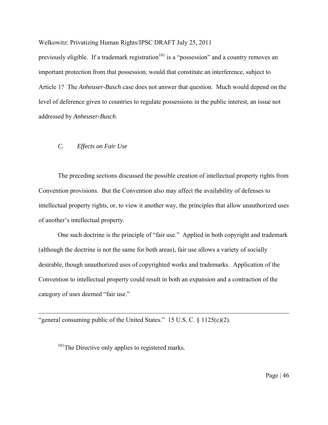previously eligible. If a trademark registration<sup>101</sup> is a "possession" and a country removes an important protection from that possession, would that constitute an interference, subject to Article 1? The *Anheuser-Busch* case does not answer that question. Much would depend on the level of deference given to countries to regulate possessions in the public interest, an issue not addressed by *Anheuser-Busch*.

### *C. Effects on Fair Use*

 $\overline{a}$ 

The preceding sections discussed the possible creation of intellectual property rights from Convention provisions. But the Convention also may affect the availability of defenses to intellectual property rights, or, to view it another way, the principles that allow unauthorized uses of another's intellectual property.

One such doctrine is the principle of "fair use." Applied in both copyright and trademark (although the doctrine is not the same for both areas), fair use allows a variety of socially desirable, though unauthorized uses of copyrighted works and trademarks. Application of the Convention to intellectual property could result in both an expansion and a contraction of the category of uses deemed "fair use."

"general consuming public of the United States."  $15$  U.S. C. §  $1125(c)(2)$ .

<sup>101</sup>The Directive only applies to registered marks.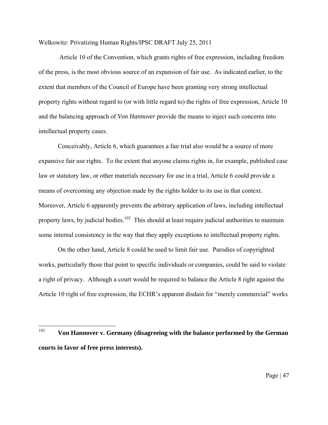Article 10 of the Convention, which grants rights of free expression, including freedom of the press, is the most obvious source of an expansion of fair use. As indicated earlier, to the extent that members of the Council of Europe have been granting very strong intellectual property rights without regard to (or with little regard to) the rights of free expression, Article 10 and the balancing approach of *Von Hannover* provide the means to inject such concerns into intellectual property cases.

Conceivably, Article 6, which guarantees a fair trial also would be a source of more expansive fair use rights. To the extent that anyone claims rights in, for example, published case law or statutory law, or other materials necessary for use in a trial, Article 6 could provide a means of overcoming any objection made by the rights holder to its use in that context. Moreover, Article 6 apparently prevents the arbitrary application of laws, including intellectual property laws, by judicial bodies.<sup>102</sup> This should at least require judicial authorities to maintain some internal consistency in the way that they apply exceptions to intellectual property rights.

On the other hand, Article 8 could be used to limit fair use. Parodies of copyrighted works, particularly those that point to specific individuals or companies, could be said to violate a right of privacy. Although a court would be required to balance the Article 8 right against the Article 10 right of free expression, the ECHR's apparent disdain for "merely commercial" works

<sup>102</sup> <sup>102</sup>**Von Hannover v. Germany (disagreeing with the balance performed by the German courts in favor of free press interests).**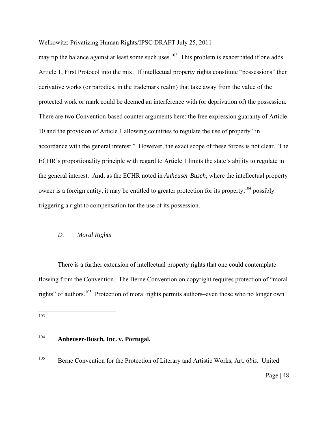may tip the balance against at least some such uses.<sup>103</sup> This problem is exacerbated if one adds Article 1, First Protocol into the mix. If intellectual property rights constitute "possessions" then derivative works (or parodies, in the trademark realm) that take away from the value of the protected work or mark could be deemed an interference with (or deprivation of) the possession. There are two Convention-based counter arguments here: the free expression guaranty of Article 10 and the provision of Article 1 allowing countries to regulate the use of property "in accordance with the general interest." However, the exact scope of these forces is not clear. The ECHR's proportionality principle with regard to Article 1 limits the state's ability to regulate in the general interest. And, as the ECHR noted in *Anheuser Busch*, where the intellectual property owner is a foreign entity, it may be entitled to greater protection for its property,<sup>104</sup> possibly triggering a right to compensation for the use of its possession.

#### *D. Moral Rights*

There is a further extension of intellectual property rights that one could contemplate flowing from the Convention. The Berne Convention on copyright requires protection of "moral rights" of authors.105 Protection of moral rights permits authors–even those who no longer own

103

## <sup>104</sup>**Anheuser-Busch, Inc. v. Portugal.**

105 Berne Convention for the Protection of Literary and Artistic Works, Art. 6*bis*. United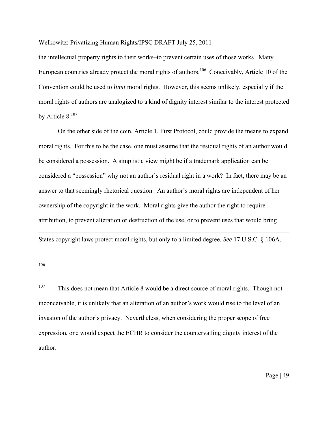the intellectual property rights to their works–to prevent certain uses of those works. Many European countries already protect the moral rights of authors.<sup>106</sup> Conceivably, Article 10 of the Convention could be used to *limit* moral rights. However, this seems unlikely, especially if the moral rights of authors are analogized to a kind of dignity interest similar to the interest protected by Article 8.<sup>107</sup>

On the other side of the coin, Article 1, First Protocol, could provide the means to expand moral rights. For this to be the case, one must assume that the residual rights of an author would be considered a possession. A simplistic view might be if a trademark application can be considered a "possession" why not an author's residual right in a work? In fact, there may be an answer to that seemingly rhetorical question. An author's moral rights are independent of her ownership of the copyright in the work. Moral rights give the author the right to require attribution, to prevent alteration or destruction of the use, or to prevent uses that would bring

States copyright laws protect moral rights, but only to a limited degree. *See* 17 U.S.C. § 106A.

106

<u>.</u>

<sup>107</sup> This does not mean that Article 8 would be a direct source of moral rights. Though not inconceivable, it is unlikely that an alteration of an author's work would rise to the level of an invasion of the author's privacy. Nevertheless, when considering the proper scope of free expression, one would expect the ECHR to consider the countervailing dignity interest of the author.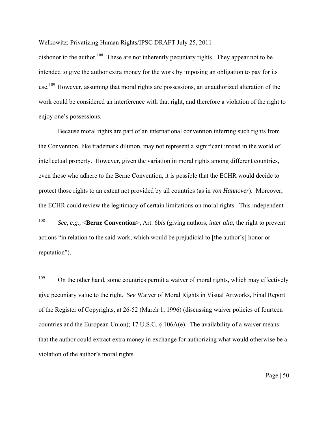dishonor to the author.<sup>108</sup> These are not inherently pecuniary rights. They appear not to be intended to give the author extra money for the work by imposing an obligation to pay for its use.<sup>109</sup> However, assuming that moral rights are possessions, an unauthorized alteration of the work could be considered an interference with that right, and therefore a violation of the right to enjoy one's possessions.

Because moral rights are part of an international convention inferring such rights from the Convention, like trademark dilution, may not represent a significant inroad in the world of intellectual property. However, given the variation in moral rights among different countries, even those who adhere to the Berne Convention, it is possible that the ECHR would decide to protect those rights to an extent not provided by all countries (as in *von Hannover*). Moreover, the ECHR could review the legitimacy of certain limitations on moral rights. This independent

108 <sup>108</sup> *See, e.g.,* <**Berne Convention**>, Art. 6*bis* (giving authors, *inter alia*, the right to prevent actions "in relation to the said work, which would be prejudicial to [the author's] honor or reputation").

<sup>109</sup> On the other hand, some countries permit a waiver of moral rights, which may effectively give pecuniary value to the right. *See* Waiver of Moral Rights in Visual Artworks, Final Report of the Register of Copyrights, at 26-52 (March 1, 1996) (discussing waiver policies of fourteen countries and the European Union); 17 U.S.C. § 106A(e). The availability of a waiver means that the author could extract extra money in exchange for authorizing what would otherwise be a violation of the author's moral rights.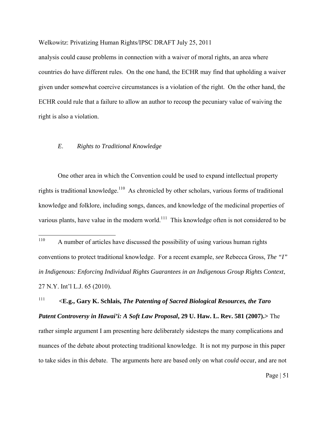analysis could cause problems in connection with a waiver of moral rights, an area where countries do have different rules. On the one hand, the ECHR may find that upholding a waiver given under somewhat coercive circumstances is a violation of the right. On the other hand, the ECHR could rule that a failure to allow an author to recoup the pecuniary value of waiving the right is also a violation.

## *E*. *Rights to Traditional Knowledge*

One other area in which the Convention could be used to expand intellectual property rights is traditional knowledge.<sup>110</sup> As chronicled by other scholars, various forms of traditional knowledge and folklore, including songs, dances, and knowledge of the medicinal properties of various plants, have value in the modern world.<sup>111</sup> This knowledge often is not considered to be

<sup>111</sup>**<E.g., Gary K. Schlais,** *The Patenting of Sacred Biological Resources, the Taro Patent Controversy in Hawai'i: A Soft Law Proposal***, 29 U. Haw. L. Rev. 581 (2007).>** The rather simple argument I am presenting here deliberately sidesteps the many complications and nuances of the debate about protecting traditional knowledge. It is not my purpose in this paper to take sides in this debate. The arguments here are based only on what *could* occur, and are not

<sup>110</sup> A number of articles have discussed the possibility of using various human rights conventions to protect traditional knowledge. For a recent example, *see* Rebecca Gross, *The "I" in Indigenous: Enforcing Individual Rights Guarantees in an Indigenous Group Rights Context*, 27 N.Y. Int'l L.J. 65 (2010).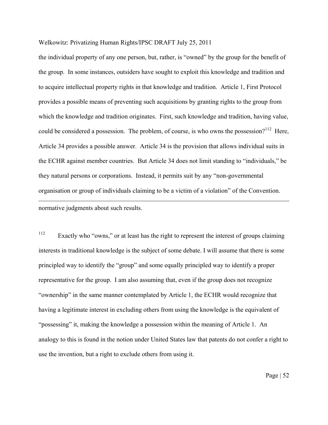the individual property of any one person, but, rather, is "owned" by the group for the benefit of the group. In some instances, outsiders have sought to exploit this knowledge and tradition and to acquire intellectual property rights in that knowledge and tradition. Article 1, First Protocol provides a possible means of preventing such acquisitions by granting rights to the group from which the knowledge and tradition originates. First, such knowledge and tradition, having value, could be considered a possession. The problem, of course, is who owns the possession?<sup>112</sup> Here, Article 34 provides a possible answer. Article 34 is the provision that allows individual suits in the ECHR against member countries. But Article 34 does not limit standing to "individuals," be they natural persons or corporations. Instead, it permits suit by any "non-governmental organisation or group of individuals claiming to be a victim of a violation" of the Convention. 1 normative judgments about such results.

<sup>112</sup> Exactly who "owns," or at least has the right to represent the interest of groups claiming interests in traditional knowledge is the subject of some debate. I will assume that there is some principled way to identify the "group" and some equally principled way to identify a proper representative for the group. I am also assuming that, even if the group does not recognize "ownership" in the same manner contemplated by Article 1, the ECHR would recognize that having a legitimate interest in excluding others from using the knowledge is the equivalent of "possessing" it, making the knowledge a possession within the meaning of Article 1. An analogy to this is found in the notion under United States law that patents do not confer a right to use the invention, but a right to exclude others from using it.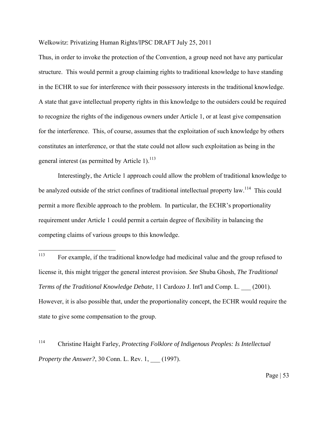Thus, in order to invoke the protection of the Convention, a group need not have any particular structure. This would permit a group claiming rights to traditional knowledge to have standing in the ECHR to sue for interference with their possessory interests in the traditional knowledge. A state that gave intellectual property rights in this knowledge to the outsiders could be required to recognize the rights of the indigenous owners under Article 1, or at least give compensation for the interference. This, of course, assumes that the exploitation of such knowledge by others constitutes an interference, or that the state could not allow such exploitation as being in the general interest (as permitted by Article 1). $^{113}$ 

Interestingly, the Article 1 approach could allow the problem of traditional knowledge to be analyzed outside of the strict confines of traditional intellectual property law.<sup>114</sup> This could permit a more flexible approach to the problem. In particular, the ECHR's proportionality requirement under Article 1 could permit a certain degree of flexibility in balancing the competing claims of various groups to this knowledge.

<sup>113</sup> For example, if the traditional knowledge had medicinal value and the group refused to license it, this might trigger the general interest provision. *See* Shuba Ghosh, *The Traditional Terms of the Traditional Knowledge Debate*, 11 Cardozo J. Int'l and Comp. L. \_\_\_ (2001). However, it is also possible that, under the proportionality concept, the ECHR would require the state to give some compensation to the group.

<sup>114</sup> Christine Haight Farley, *Protecting Folklore of Indigenous Peoples: Is Intellectual Property the Answer?*, 30 Conn. L. Rev. 1, \_\_\_ (1997).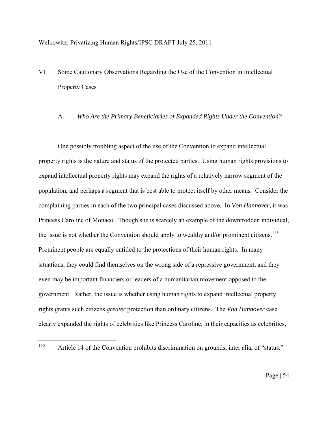# VI. Some Cautionary Observations Regarding the Use of the Convention in Intellectual Property Cases

## A. *Who Are the Primary Beneficiaries of Expanded Rights Under the Convention?*

One possibly troubling aspect of the use of the Convention to expand intellectual property rights is the nature and status of the protected parties. Using human rights provisions to expand intellectual property rights may expand the rights of a relatively narrow segment of the population, and perhaps a segment that is best able to protect itself by other means. Consider the complaining parties in each of the two principal cases discussed above. In *Von Hannover*, it was Princess Caroline of Monaco. Though she is scarcely an example of the downtrodden individual, the issue is not whether the Convention should apply to wealthy and/or prominent citizens.<sup>115</sup> Prominent people are equally entitled to the protections of their human rights. In many situations, they could find themselves on the wrong side of a repressive government, and they even may be important financiers or leaders of a humanitarian movement opposed to the government. Rather, the issue is whether using human rights to expand intellectual property rights grants such citizens *greater* protection than ordinary citizens. The *Von Hannover* case clearly expanded the rights of celebrities like Princess Caroline, in their capacities as celebrities,

<sup>115</sup> Article 14 of the Convention prohibits discrimination on grounds, inter alia, of "status."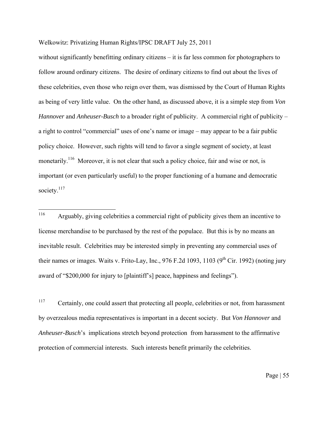without significantly benefitting ordinary citizens – it is far less common for photographers to follow around ordinary citizens. The desire of ordinary citizens to find out about the lives of these celebrities, even those who reign over them, was dismissed by the Court of Human Rights as being of very little value. On the other hand, as discussed above, it is a simple step from *Von Hannover* and *Anheuser-Busch* to a broader right of publicity. A commercial right of publicity – a right to control "commercial" uses of one's name or image – may appear to be a fair public policy choice. However, such rights will tend to favor a single segment of society, at least monetarily.<sup>116</sup> Moreover, it is not clear that such a policy choice, fair and wise or not, is important (or even particularly useful) to the proper functioning of a humane and democratic society.<sup>117</sup>

116 Arguably, giving celebrities a commercial right of publicity gives them an incentive to license merchandise to be purchased by the rest of the populace. But this is by no means an inevitable result. Celebrities may be interested simply in preventing any commercial uses of their names or images. Waits v. Frito-Lay, Inc., 976 F.2d 1093, 1103 (9<sup>th</sup> Cir. 1992) (noting jury award of "\$200,000 for injury to [plaintiff's] peace, happiness and feelings").

<sup>117</sup> Certainly, one could assert that protecting all people, celebrities or not, from harassment by overzealous media representatives is important in a decent society. But *Von Hannover* and *Anheuser-Busch*'s implications stretch beyond protection from harassment to the affirmative protection of commercial interests. Such interests benefit primarily the celebrities.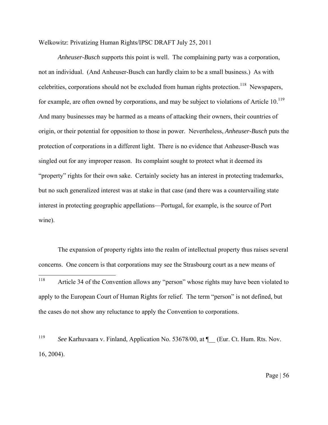*Anheuser-Busch* supports this point is well. The complaining party was a corporation, not an individual. (And Anheuser-Busch can hardly claim to be a small business.) As with celebrities, corporations should not be excluded from human rights protection.<sup>118</sup> Newspapers, for example, are often owned by corporations, and may be subject to violations of Article  $10^{119}$ And many businesses may be harmed as a means of attacking their owners, their countries of origin, or their potential for opposition to those in power. Nevertheless, *Anheuser-Busch* puts the protection of corporations in a different light. There is no evidence that Anheuser-Busch was singled out for any improper reason. Its complaint sought to protect what it deemed its "property" rights for their own sake. Certainly society has an interest in protecting trademarks, but no such generalized interest was at stake in that case (and there was a countervailing state interest in protecting geographic appellations—Portugal, for example, is the source of Port wine).

The expansion of property rights into the realm of intellectual property thus raises several concerns. One concern is that corporations may see the Strasbourg court as a new means of  $118\,$ Article 34 of the Convention allows any "person" whose rights may have been violated to apply to the European Court of Human Rights for relief. The term "person" is not defined, but the cases do not show any reluctance to apply the Convention to corporations.

<sup>119</sup>*See* Karhuvaara v. Finland, Application No. 53678/00, at ¶\_\_ (Eur. Ct. Hum. Rts. Nov. 16, 2004).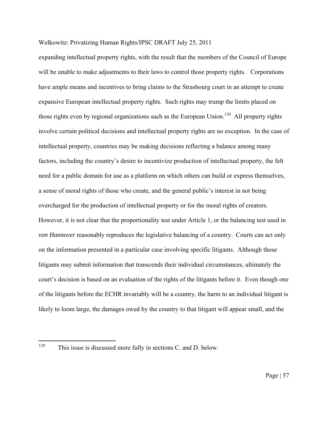expanding intellectual property rights, with the result that the members of the Council of Europe will be unable to make adjustments to their laws to control those property rights. Corporations have ample means and incentives to bring claims to the Strasbourg court in an attempt to create expansive European intellectual property rights. Such rights may trump the limits placed on those rights even by regional organizations such as the European Union.<sup>120</sup> All property rights involve certain political decisions and intellectual property rights are no exception. In the case of intellectual property, countries may be making decisions reflecting a balance among many factors, including the country's desire to incentivize production of intellectual property, the felt need for a public domain for use as a platform on which others can build or express themselves, a sense of moral rights of those who create, and the general public's interest in not being overcharged for the production of intellectual property or for the moral rights of creators. However, it is not clear that the proportionality test under Article 1, or the balancing test used in *von Hannover* reasonably reproduces the legislative balancing of a country. Courts can act only on the information presented in a particular case involving specific litigants. Although those litigants may submit information that transcends their individual circumstances, ultimately the court's decision is based on an evaluation of the rights of the litigants before it. Even though one of the litigants before the ECHR invariably will be a country, the harm to an individual litigant is likely to loom large, the damages owed by the country to that litigant will appear small, and the

<sup>120</sup> This issue is discussed more fully in sections C. and D. below.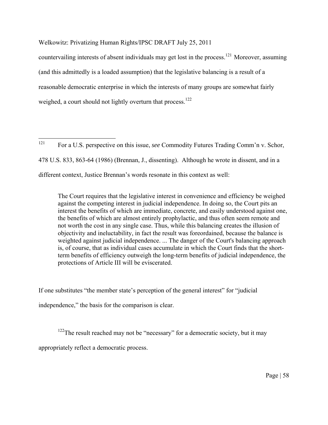countervailing interests of absent individuals may get lost in the process.<sup>121</sup> Moreover, assuming (and this admittedly is a loaded assumption) that the legislative balancing is a result of a reasonable democratic enterprise in which the interests of many groups are somewhat fairly weighed, a court should not lightly overturn that process.<sup>122</sup>

121 121 For a U.S. perspective on this issue, *see* Commodity Futures Trading Comm'n v. Schor, 478 U.S. 833, 863-64 (1986) (Brennan, J., dissenting). Although he wrote in dissent, and in a different context, Justice Brennan's words resonate in this context as well:

The Court requires that the legislative interest in convenience and efficiency be weighed against the competing interest in judicial independence. In doing so, the Court pits an interest the benefits of which are immediate, concrete, and easily understood against one, the benefits of which are almost entirely prophylactic, and thus often seem remote and not worth the cost in any single case. Thus, while this balancing creates the illusion of objectivity and ineluctability, in fact the result was foreordained, because the balance is weighted against judicial independence. ... The danger of the Court's balancing approach is, of course, that as individual cases accumulate in which the Court finds that the shortterm benefits of efficiency outweigh the long-term benefits of judicial independence, the protections of Article III will be eviscerated.

If one substitutes "the member state's perception of the general interest" for "judicial

independence," the basis for the comparison is clear.

 $122$ The result reached may not be "necessary" for a democratic society, but it may

appropriately reflect a democratic process.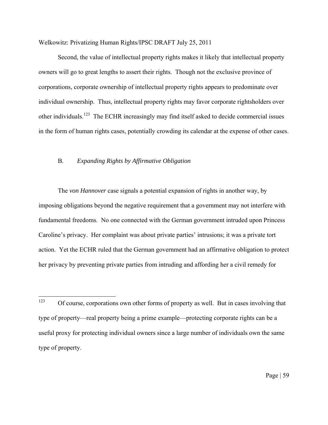Second, the value of intellectual property rights makes it likely that intellectual property owners will go to great lengths to assert their rights. Though not the exclusive province of corporations, corporate ownership of intellectual property rights appears to predominate over individual ownership. Thus, intellectual property rights may favor corporate rightsholders over other individuals.123 The ECHR increasingly may find itself asked to decide commercial issues in the form of human rights cases, potentially crowding its calendar at the expense of other cases.

#### B. *Expanding Rights by Affirmative Obligation*

The *von Hannover* case signals a potential expansion of rights in another way, by imposing obligations beyond the negative requirement that a government may not interfere with fundamental freedoms. No one connected with the German government intruded upon Princess Caroline's privacy. Her complaint was about private parties' intrusions; it was a private tort action. Yet the ECHR ruled that the German government had an affirmative obligation to protect her privacy by preventing private parties from intruding and affording her a civil remedy for

<sup>123</sup> Of course, corporations own other forms of property as well. But in cases involving that type of property—real property being a prime example—protecting corporate rights can be a useful proxy for protecting individual owners since a large number of individuals own the same type of property.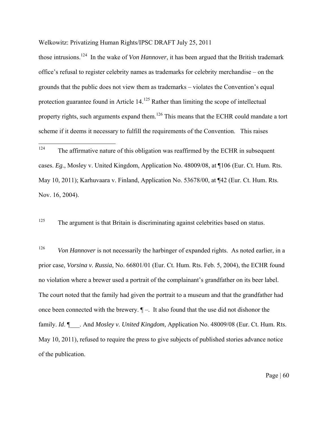those intrusions.124 In the wake of *Von Hannover*, it has been argued that the British trademark office's refusal to register celebrity names as trademarks for celebrity merchandise – on the grounds that the public does not view them as trademarks – violates the Convention's equal protection guarantee found in Article 14.<sup>125</sup> Rather than limiting the scope of intellectual property rights, such arguments expand them.<sup>126</sup> This means that the ECHR could mandate a tort scheme if it deems it necessary to fulfill the requirements of the Convention. This raises

<sup>125</sup> The argument is that Britain is discriminating against celebrities based on status.

<sup>126</sup> Von Hannover is not necessarily the harbinger of expanded rights. As noted earlier, in a prior case, *Vorsina v. Russia*, No. 66801/01 (Eur. Ct. Hum. Rts. Feb. 5, 2004), the ECHR found no violation where a brewer used a portrait of the complainant's grandfather on its beer label. The court noted that the family had given the portrait to a museum and that the grandfather had once been connected with the brewery.  $\P$  –. It also found that the use did not dishonor the family. *Id.*  $\blacksquare$  . And *Mosley v. United Kingdom*, Application No. 48009/08 (Eur. Ct. Hum. Rts. May 10, 2011), refused to require the press to give subjects of published stories advance notice of the publication.

<sup>124</sup> The affirmative nature of this obligation was reaffirmed by the ECHR in subsequent cases. *Eg.*, Mosley v. United Kingdom, Application No. 48009/08, at ¶106 (Eur. Ct. Hum. Rts. May 10, 2011); Karhuvaara v. Finland, Application No. 53678/00, at ¶42 (Eur. Ct. Hum. Rts. Nov. 16, 2004).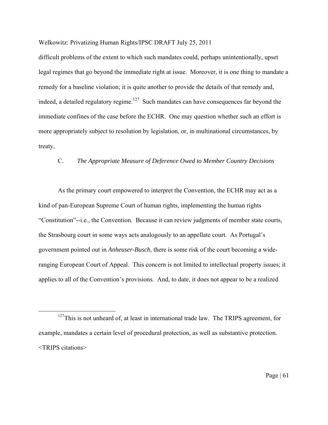difficult problems of the extent to which such mandates could, perhaps unintentionally, upset legal regimes that go beyond the immediate right at issue. Moreover, it is one thing to mandate a remedy for a baseline violation; it is quite another to provide the details of that remedy and, indeed, a detailed regulatory regime.<sup>127</sup> Such mandates can have consequences far beyond the immediate confines of the case before the ECHR. One may question whether such an effort is more appropriately subject to resolution by legislation, or, in multinational circumstances, by treaty,

## C. *The Appropriate Measure of Deference Owed to Member Country Decisions*

As the primary court empowered to interpret the Convention, the ECHR may act as a kind of pan-European Supreme Court of human rights, implementing the human rights "Constitution"--i.e., the Convention. Because it can review judgments of member state courts, the Strasbourg court in some ways acts analogously to an appellate court. As Portugal's government pointed out in *Anheuser-Busch*, there is some risk of the court becoming a wideranging European Court of Appeal. This concern is not limited to intellectual property issues; it applies to all of the Convention's provisions. And, to date, it does not appear to be a realized

 $127$ This is not unheard of, at least in international trade law. The TRIPS agreement, for example, mandates a certain level of procedural protection, as well as substantive protection. <TRIPS citations>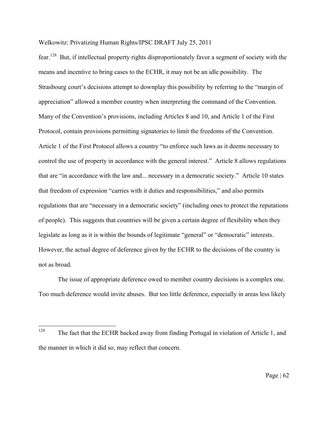fear.128 But, if intellectual property rights disproportionately favor a segment of society with the means and incentive to bring cases to the ECHR, it may not be an idle possibility. The Strasbourg court's decisions attempt to downplay this possibility by referring to the "margin of appreciation" allowed a member country when interpreting the command of the Convention. Many of the Convention's provisions, including Articles 8 and 10, and Article 1 of the First Protocol, contain provisions permitting signatories to limit the freedoms of the Convention. Article 1 of the First Protocol allows a country "to enforce such laws as it deems necessary to control the use of property in accordance with the general interest." Article 8 allows regulations that are "in accordance with the law and... necessary in a democratic society." Article 10 states that freedom of expression "carries with it duties and responsibilities," and also permits regulations that are "necessary in a democratic society" (including ones to protect the reputations of people). This suggests that countries will be given a certain degree of flexibility when they legislate as long as it is within the bounds of legitimate "general" or "democratic" interests. However, the actual degree of deference given by the ECHR to the decisions of the country is not as broad.

The issue of appropriate deference owed to member country decisions is a complex one. Too much deference would invite abuses. But too little deference, especially in areas less likely

<sup>128</sup> The fact that the ECHR backed away from finding Portugal in violation of Article 1, and the manner in which it did so, may reflect that concern.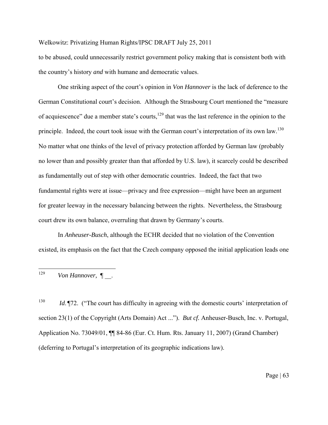to be abused, could unnecessarily restrict government policy making that is consistent both with the country's history *and* with humane and democratic values.

One striking aspect of the court's opinion in *Von Hannover* is the lack of deference to the German Constitutional court's decision. Although the Strasbourg Court mentioned the "measure of acquiescence" due a member state's courts,<sup>129</sup> that was the last reference in the opinion to the principle. Indeed, the court took issue with the German court's interpretation of its own law.<sup>130</sup> No matter what one thinks of the level of privacy protection afforded by German law (probably no lower than and possibly greater than that afforded by U.S. law), it scarcely could be described as fundamentally out of step with other democratic countries. Indeed, the fact that two fundamental rights were at issue—privacy and free expression—might have been an argument for greater leeway in the necessary balancing between the rights. Nevertheless, the Strasbourg court drew its own balance, overruling that drawn by Germany's courts.

In *Anheuser-Busch*, although the ECHR decided that no violation of the Convention existed, its emphasis on the fact that the Czech company opposed the initial application leads one

129 <sup>129</sup>*Von Hannover,* ¶ \_\_.

<sup>130</sup>*Id*. ¶72. ("The court has difficulty in agreeing with the domestic courts' interpretation of section 23(1) of the Copyright (Arts Domain) Act ..."). *But cf.* Anheuser-Busch, Inc. v. Portugal, Application No. 73049/01, ¶¶ 84-86 (Eur. Ct. Hum. Rts. January 11, 2007) (Grand Chamber) (deferring to Portugal's interpretation of its geographic indications law).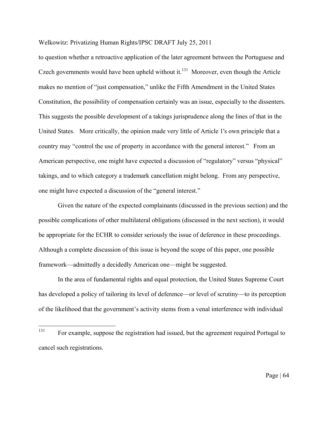to question whether a retroactive application of the later agreement between the Portuguese and Czech governments would have been upheld without it.<sup>131</sup> Moreover, even though the Article makes no mention of "just compensation," unlike the Fifth Amendment in the United States Constitution, the possibility of compensation certainly was an issue, especially to the dissenters. This suggests the possible development of a takings jurisprudence along the lines of that in the United States. More critically, the opinion made very little of Article 1's own principle that a country may "control the use of property in accordance with the general interest." From an American perspective, one might have expected a discussion of "regulatory" versus "physical" takings, and to which category a trademark cancellation might belong. From any perspective, one might have expected a discussion of the "general interest."

Given the nature of the expected complainants (discussed in the previous section) and the possible complications of other multilateral obligations (discussed in the next section), it would be appropriate for the ECHR to consider seriously the issue of deference in these proceedings. Although a complete discussion of this issue is beyond the scope of this paper, one possible framework—admittedly a decidedly American one—might be suggested.

In the area of fundamental rights and equal protection, the United States Supreme Court has developed a policy of tailoring its level of deference—or level of scrutiny—to its perception of the likelihood that the government's activity stems from a venal interference with individual

<sup>131</sup> 131 For example, suppose the registration had issued, but the agreement required Portugal to cancel such registrations.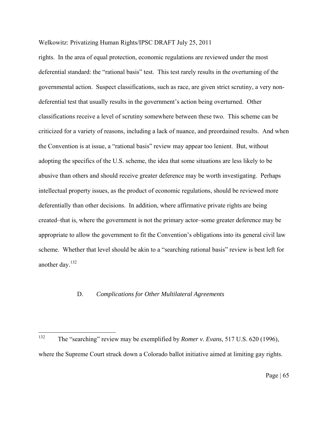rights. In the area of equal protection, economic regulations are reviewed under the most deferential standard: the "rational basis" test. This test rarely results in the overturning of the governmental action. Suspect classifications, such as race, are given strict scrutiny, a very nondeferential test that usually results in the government's action being overturned. Other classifications receive a level of scrutiny somewhere between these two. This scheme can be criticized for a variety of reasons, including a lack of nuance, and preordained results. And when the Convention is at issue, a "rational basis" review may appear too lenient. But, without adopting the specifics of the U.S. scheme, the idea that some situations are less likely to be abusive than others and should receive greater deference may be worth investigating. Perhaps intellectual property issues, as the product of economic regulations, should be reviewed more deferentially than other decisions. In addition, where affirmative private rights are being created–that is, where the government is not the primary actor–some greater deference may be appropriate to allow the government to fit the Convention's obligations into its general civil law scheme. Whether that level should be akin to a "searching rational basis" review is best left for another day.132

#### D. *Complications for Other Multilateral Agreements*

<sup>132</sup> 132 The "searching" review may be exemplified by *Romer v. Evans*, 517 U.S. 620 (1996), where the Supreme Court struck down a Colorado ballot initiative aimed at limiting gay rights.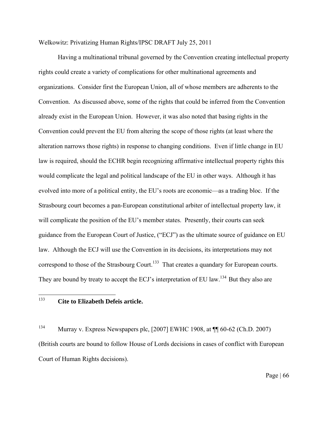Having a multinational tribunal governed by the Convention creating intellectual property rights could create a variety of complications for other multinational agreements and organizations. Consider first the European Union, all of whose members are adherents to the Convention. As discussed above, some of the rights that could be inferred from the Convention already exist in the European Union. However, it was also noted that basing rights in the Convention could prevent the EU from altering the scope of those rights (at least where the alteration narrows those rights) in response to changing conditions. Even if little change in EU law is required, should the ECHR begin recognizing affirmative intellectual property rights this would complicate the legal and political landscape of the EU in other ways. Although it has evolved into more of a political entity, the EU's roots are economic—as a trading bloc. If the Strasbourg court becomes a pan-European constitutional arbiter of intellectual property law, it will complicate the position of the EU's member states. Presently, their courts can seek guidance from the European Court of Justice, ("ECJ") as the ultimate source of guidance on EU law. Although the ECJ will use the Convention in its decisions, its interpretations may not correspond to those of the Strasbourg Court.<sup>133</sup> That creates a quandary for European courts. They are bound by treaty to accept the ECJ's interpretation of EU law.<sup>134</sup> But they also are

133 <sup>133</sup>**Cite to Elizabeth Defeis article.**

134 Murray v. Express Newspapers plc, [2007] EWHC 1908, at ¶¶ 60-62 (Ch.D. 2007) (British courts are bound to follow House of Lords decisions in cases of conflict with European

Court of Human Rights decisions).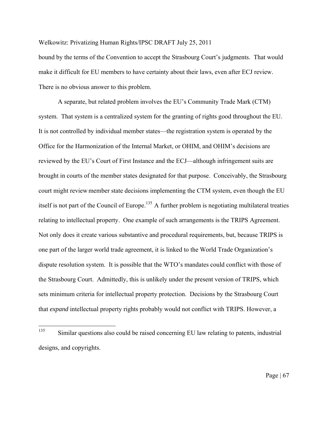bound by the terms of the Convention to accept the Strasbourg Court's judgments. That would make it difficult for EU members to have certainty about their laws, even after ECJ review. There is no obvious answer to this problem.

 A separate, but related problem involves the EU's Community Trade Mark (CTM) system. That system is a centralized system for the granting of rights good throughout the EU. It is not controlled by individual member states—the registration system is operated by the Office for the Harmonization of the Internal Market, or OHIM, and OHIM's decisions are reviewed by the EU's Court of First Instance and the ECJ—although infringement suits are brought in courts of the member states designated for that purpose. Conceivably, the Strasbourg court might review member state decisions implementing the CTM system, even though the EU itself is not part of the Council of Europe.<sup>135</sup> A further problem is negotiating multilateral treaties relating to intellectual property. One example of such arrangements is the TRIPS Agreement. Not only does it create various substantive and procedural requirements, but, because TRIPS is one part of the larger world trade agreement, it is linked to the World Trade Organization's dispute resolution system. It is possible that the WTO's mandates could conflict with those of the Strasbourg Court. Admittedly, this is unlikely under the present version of TRIPS, which sets minimum criteria for intellectual property protection. Decisions by the Strasbourg Court that *expand* intellectual property rights probably would not conflict with TRIPS. However, a

<sup>135</sup> 135 Similar questions also could be raised concerning EU law relating to patents, industrial designs, and copyrights.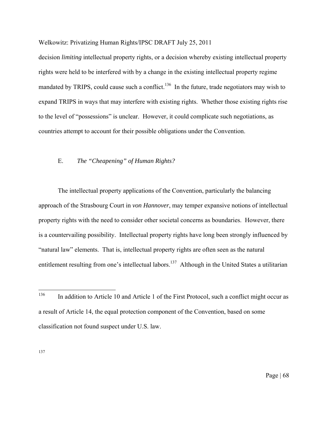decision *limiting* intellectual property rights, or a decision whereby existing intellectual property rights were held to be interfered with by a change in the existing intellectual property regime mandated by TRIPS, could cause such a conflict.<sup>136</sup> In the future, trade negotiators may wish to expand TRIPS in ways that may interfere with existing rights. Whether those existing rights rise to the level of "possessions" is unclear. However, it could complicate such negotiations, as countries attempt to account for their possible obligations under the Convention.

## E. *The "Cheapening" of Human Rights?*

The intellectual property applications of the Convention, particularly the balancing approach of the Strasbourg Court in *von Hannover*, may temper expansive notions of intellectual property rights with the need to consider other societal concerns as boundaries. However, there is a countervailing possibility. Intellectual property rights have long been strongly influenced by "natural law" elements. That is, intellectual property rights are often seen as the natural entitlement resulting from one's intellectual labors.<sup>137</sup> Although in the United States a utilitarian

137

<sup>136</sup> In addition to Article 10 and Article 1 of the First Protocol, such a conflict might occur as a result of Article 14, the equal protection component of the Convention, based on some classification not found suspect under U.S. law.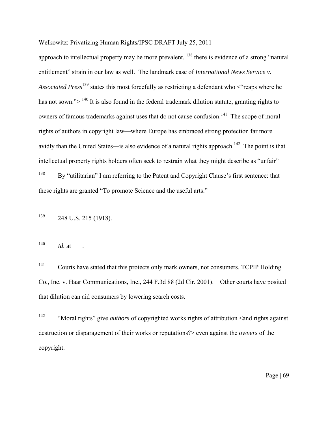approach to intellectual property may be more prevalent, <sup>138</sup> there is evidence of a strong "natural" entitlement" strain in our law as well. The landmark case of *International News Service v. Associated Press*139 states this most forcefully as restricting a defendant who <"reaps where he has not sown.">  $^{140}$  It is also found in the federal trademark dilution statute, granting rights to owners of famous trademarks against uses that do not cause confusion.<sup>141</sup> The scope of moral rights of authors in copyright law—where Europe has embraced strong protection far more avidly than the United States—is also evidence of a natural rights approach.<sup>142</sup> The point is that intellectual property rights holders often seek to restrain what they might describe as "unfair"

138 By "utilitarian" I am referring to the Patent and Copyright Clause's first sentence: that these rights are granted "To promote Science and the useful arts."

139 248 U.S. 215 (1918).

 $140$  *Id.* at .

141 Courts have stated that this protects only mark owners, not consumers. TCPIP Holding Co., Inc. v. Haar Communications, Inc., 244 F.3d 88 (2d Cir. 2001). Other courts have posited that dilution can aid consumers by lowering search costs.

<sup>142</sup> "Moral rights" give *authors* of copyrighted works rights of attribution <and rights against destruction or disparagement of their works or reputations?> even against the *owners* of the copyright.